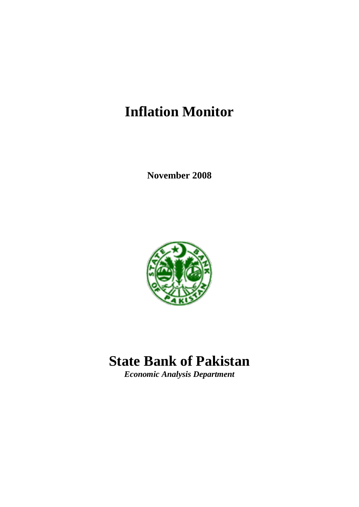# **Inflation Monitor**

**November 2008**



# **State Bank of Pakistan**

*Economic Analysis Department*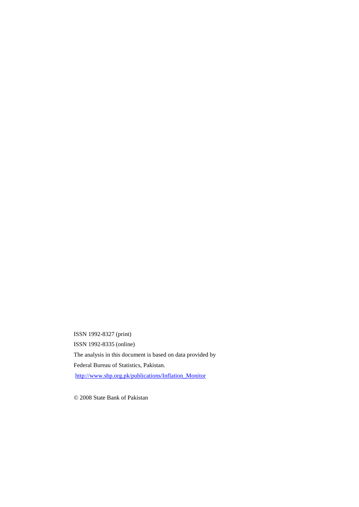ISSN 1992-8327 (print) ISSN 1992-8335 (online) The analysis in this document is based on data provided by Federal Bureau of Statistics, Pakistan. [http://www.sbp.org.pk/publications/Inflation\\_Monitor](http://www.sbp.org.pk/publications/Inflation_Monitor)

*©* 2008 State Bank of Pakistan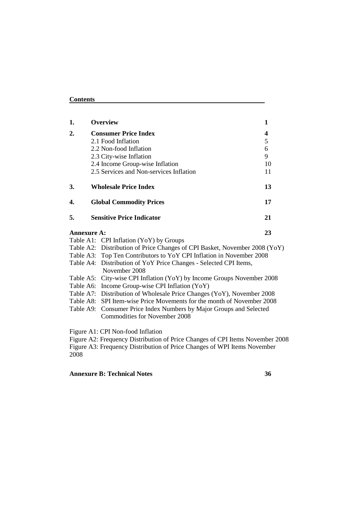## **Contents**

| 1.                 | <b>Overview</b>                                                                    | 1  |
|--------------------|------------------------------------------------------------------------------------|----|
| 2.                 | <b>Consumer Price Index</b>                                                        | 4  |
|                    | 2.1 Food Inflation                                                                 | 5  |
|                    | 2.2 Non-food Inflation                                                             | 6  |
|                    | 2.3 City-wise Inflation                                                            | 9  |
|                    | 2.4 Income Group-wise Inflation                                                    | 10 |
|                    | 2.5 Services and Non-services Inflation                                            | 11 |
| 3.                 | <b>Wholesale Price Index</b>                                                       | 13 |
| 4.                 | <b>Global Commodity Prices</b>                                                     | 17 |
| 5.                 | <b>Sensitive Price Indicator</b>                                                   | 21 |
| <b>Annexure A:</b> |                                                                                    | 23 |
|                    | Table A1: CPI Inflation (YoY) by Groups                                            |    |
|                    | Table A2: Distribution of Price Changes of CPI Basket, November 2008 (YoY)         |    |
|                    | Table A3: Top Ten Contributors to YoY CPI Inflation in November 2008               |    |
|                    | Table A4: Distribution of YoY Price Changes - Selected CPI Items,<br>November 2008 |    |
|                    | Table A5: City-wise CPI Inflation (YoY) by Income Groups November 2008             |    |
|                    | Table A6: Income Group-wise CPI Inflation (YoY)                                    |    |
|                    | Table A7: Distribution of Wholesale Price Changes (YoY), November 2008             |    |
|                    | Table A8: SPI Item-wise Price Movements for the month of November 2008             |    |
|                    |                                                                                    |    |

Table A9: Consumer Price Index Numbers by Major Groups and Selected Commodities for November 2008

Figure A1: CPI Non-food Inflation

Figure A2: Frequency Distribution of Price Changes of CPI Items November 2008 Figure A3: Frequency Distribution of Price Changes of WPI Items November 2008

## **Annexure B: Technical Notes 36**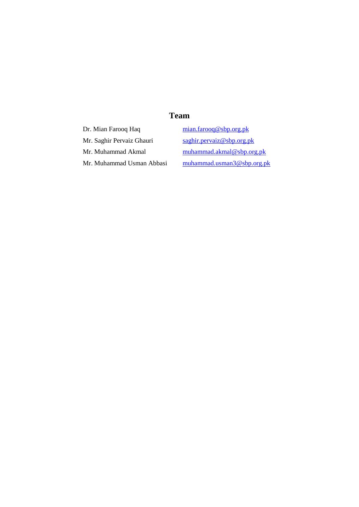## **Team**

Dr. Mian Farooq Haq [mian.farooq@sbp.org.pk](mailto:mian.farooq@sbp.org.pk) Mr. Saghir Pervaiz Ghauri [saghir.pervaiz@sbp.org.pk](mailto:saghir.pervaiz@sbp.org.pk)

Mr. Muhammad Akmal [muhammad.akmal@sbp.org.pk](mailto:muhammad.akmal@sbp.org.pk) Mr. Muhammad Usman Abbasi [muhammad.usman3@sbp.org.pk](mailto:muhammad.usman3@sbp.org.pk)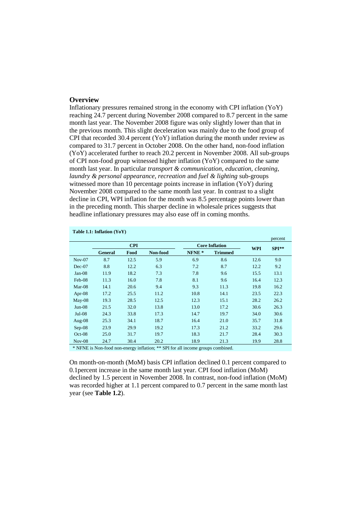#### **Overview**

Inflationary pressures remained strong in the economy with CPI inflation (YoY) reaching 24.7 percent during November 2008 compared to 8.7 percent in the same month last year. The November 2008 figure was only slightly lower than that in the previous month. This slight deceleration was mainly due to the food group of CPI that recorded 30.4 percent  $(YoY)$  inflation during the month under review as compared to 31.7 percent in October 2008. On the other hand, non-food inflation (YoY) accelerated further to reach 20.2 percent in November 2008. All sub-groups of CPI non-food group witnessed higher inflation (YoY) compared to the same month last year. In particular *transport & communication, education, cleaning, laundry & personal appearance, recreation* and *fuel & lighting* sub-groups witnessed more than 10 percentage points increase in inflation (YoY) during November 2008 compared to the same month last year. In contrast to a slight decline in CPI, WPI inflation for the month was 8.5 percentage points lower than in the preceding month. This sharper decline in wholesale prices suggests that headline inflationary pressures may also ease off in coming months.

| Table 1.1: Inflation $(YoY)$ |                |            |          |                   |                       |            |         |
|------------------------------|----------------|------------|----------|-------------------|-----------------------|------------|---------|
|                              |                |            |          |                   |                       |            | percent |
|                              |                | <b>CPI</b> |          |                   | <b>Core Inflation</b> | <b>WPI</b> | $SPI**$ |
|                              | <b>General</b> | Food       | Non-food | NFNE <sup>*</sup> | <b>Trimmed</b>        |            |         |
| $Nov-07$                     | 8.7            | 12.5       | 5.9      | 6.9               | 8.6                   | 12.6       | 9.0     |
| Dec-07                       | 8.8            | 12.2       | 6.3      | 7.2               | 8.7                   | 12.2       | 9.2     |
| $Jan-08$                     | 11.9           | 18.2       | 7.3      | 7.8               | 9.6                   | 15.5       | 13.1    |
| Feb-08                       | 11.3           | 16.0       | 7.8      | 8.1               | 9.6                   | 16.4       | 12.3    |
| $Mar-08$                     | 14.1           | 20.6       | 9.4      | 9.3               | 11.3                  | 19.8       | 16.2    |
| Apr- $08$                    | 17.2           | 25.5       | 11.2     | 10.8              | 14.1                  | 23.5       | 22.3    |
| $May-08$                     | 19.3           | 28.5       | 12.5     | 12.3              | 15.1                  | 28.2       | 26.2    |
| $Jun-08$                     | 21.5           | 32.0       | 13.8     | 13.0              | 17.2                  | 30.6       | 26.3    |
| $Jul-08$                     | 24.3           | 33.8       | 17.3     | 14.7              | 19.7                  | 34.0       | 30.6    |
| Aug- $08$                    | 25.3           | 34.1       | 18.7     | 16.4              | 21.0                  | 35.7       | 31.8    |
| $Sep-08$                     | 23.9           | 29.9       | 19.2     | 17.3              | 21.2                  | 33.2       | 29.6    |
| $Oct-08$                     | 25.0           | 31.7       | 19.7     | 18.3              | 21.7                  | 28.4       | 30.3    |
| $Nov-08$                     | 24.7           | 30.4       | 20.2     | 18.9              | 21.3                  | 19.9       | 28.8    |

\* NFNE is Non-food non-energy inflation; \*\* SPI for all income groups combined.

On month-on-month (MoM) basis CPI inflation declined 0.1 percent compared to 0.1percent increase in the same month last year. CPI food inflation (MoM) declined by 1.5 percent in November 2008. In contrast, non-food inflation (MoM) was recorded higher at 1.1 percent compared to 0.7 percent in the same month last year (see **Table 1.2**).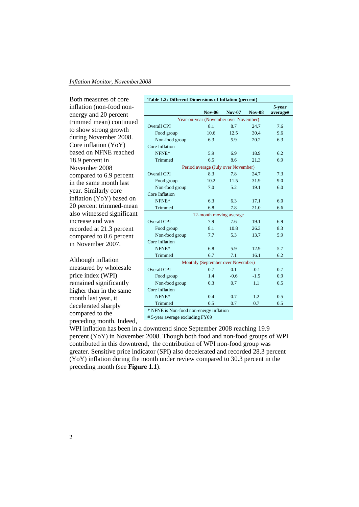Both measures of core inflation (non-food nonenergy and 20 percent trimmed mean) continued to show strong growth during November 2008. Core inflation (YoY) based on NFNE reached 18.9 percent in November 2008 compared to 6.9 percent in the same month last year. Similarly core inflation (YoY) based on 20 percent trimmed-mean also witnessed significant increase and was recorded at 21.3 percent compared to 8.6 percent in November 2007.

Although inflation measured by wholesale price index (WPI) remained significantly higher than in the same month last year, it decelerated sharply compared to the preceding month. Indeed,

| Table 1.2: Different Dimensions of Inflation (percent) |                                       |               |               |          |  |  |  |
|--------------------------------------------------------|---------------------------------------|---------------|---------------|----------|--|--|--|
|                                                        |                                       |               |               | 5-year   |  |  |  |
|                                                        | <b>Nov-06</b>                         | <b>Nov-07</b> | <b>Nov-08</b> | average# |  |  |  |
|                                                        | Year-on-year (November over November) |               |               |          |  |  |  |
| Overall CPI                                            | 8.1                                   | 8.7           | 24.7          | 7.6      |  |  |  |
| Food group                                             | 10.6                                  | 12.5          | 30.4          | 9.6      |  |  |  |
| Non-food group                                         | 6.3                                   | 5.9           | 20.2          | 6.3      |  |  |  |
| Core Inflation                                         |                                       |               |               |          |  |  |  |
| NFNE*                                                  | 5.9                                   | 6.9           | 18.9          | 6.2      |  |  |  |
| Trimmed                                                | 6.5                                   | 8.6           | 21.3          | 6.9      |  |  |  |
|                                                        | Period average (July over November)   |               |               |          |  |  |  |
| Overall CPI                                            | 8.3                                   | 7.8           | 24.7          | 7.3      |  |  |  |
| Food group                                             | 10.2                                  | 11.5          | 31.9          | 9.0      |  |  |  |
| Non-food group                                         | 7.0                                   | 5.2           | 19.1          | 6.0      |  |  |  |
| Core Inflation                                         |                                       |               |               |          |  |  |  |
| NFNE*                                                  | 6.3                                   | 6.3           | 17.1          | 6.0      |  |  |  |
| Trimmed                                                | 6.8                                   | 7.8           | 21.0          | 6.6      |  |  |  |
|                                                        | 12-month moving average               |               |               |          |  |  |  |
| <b>Overall CPI</b>                                     | 7.9                                   | 7.6           | 19.1          | 6.9      |  |  |  |
| Food group                                             | 8.1                                   | 10.8          | 26.3          | 8.3      |  |  |  |
| Non-food group                                         | 7.7                                   | 5.3           | 13.7          | 5.9      |  |  |  |
| Core Inflation                                         |                                       |               |               |          |  |  |  |
| NFNE*                                                  | 6.8                                   | 5.9           | 12.9          | 5.7      |  |  |  |
| Trimmed                                                | 6.7                                   | 7.1           | 16.1          | 6.2      |  |  |  |
|                                                        | Monthly (September over November)     |               |               |          |  |  |  |
| <b>Overall CPI</b>                                     | 0.7                                   | 0.1           | $-0.1$        | 0.7      |  |  |  |
| Food group                                             | 1.4                                   | $-0.6$        | $-1.5$        | 0.9      |  |  |  |
| Non-food group                                         | 0.3                                   | 0.7           | 1.1           | 0.5      |  |  |  |
| Core Inflation                                         |                                       |               |               |          |  |  |  |
| NFNE*                                                  | 0.4                                   | 0.7           | 1.2           | 0.5      |  |  |  |
| Trimmed                                                | 0.5                                   | 0.7           | 0.7           | 0.5      |  |  |  |
| * NENE is Non food non energy inflation                |                                       |               |               |          |  |  |  |

NFNE is Non-food non-energy inf

# 5-year average excluding FY09

WPI inflation has been in a downtrend since September 2008 reaching 19.9 percent (YoY) in November 2008. Though both food and non-food groups of WPI contributed in this downtrend, the contribution of WPI non-food group was greater. Sensitive price indicator (SPI) also decelerated and recorded 28.3 percent (YoY) inflation during the month under review compared to 30.3 percent in the preceding month (see **Figure 1.1**).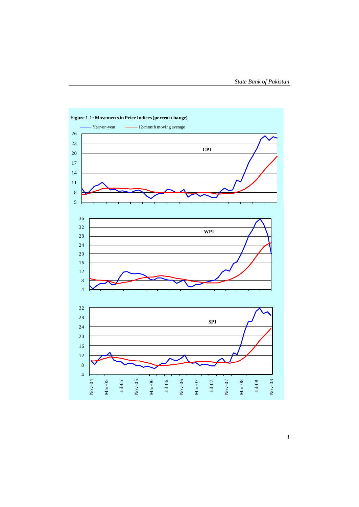

**Figure 1.1: Movements in Price Indices (percent change)**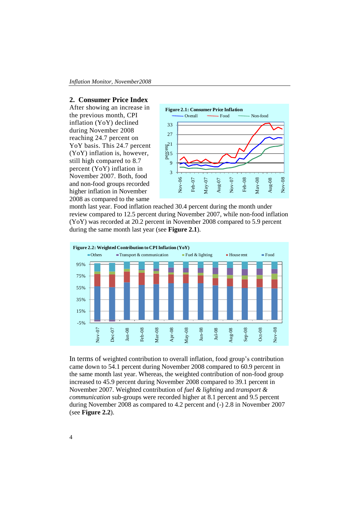#### **2. Consumer Price Index**

After showing an increase in the previous month, CPI inflation (YoY) declined during November 2008 reaching 24.7 percent on YoY basis. This 24.7 percent (YoY) inflation is, however, still high compared to 8.7 percent (YoY) inflation in November 2007. Both, food and non-food groups recorded higher inflation in November 2008 as compared to the same



month last year. Food inflation reached 30.4 percent during the month under review compared to 12.5 percent during November 2007, while non-food inflation (YoY) was recorded at 20.2 percent in November 2008 compared to 5.9 percent during the same month last year (see **Figure 2.1**).



In terms of weighted contribution to overall inflation, food group's contribution came down to 54.1 percent during November 2008 compared to 60.9 percent in the same month last year. Whereas, the weighted contribution of non-food group increased to 45.9 percent during November 2008 compared to 39.1 percent in November 2007. Weighted contribution of *fuel & lighting* and *transport & communication* sub-groups were recorded higher at 8.1 percent and 9.5 percent during November 2008 as compared to 4.2 percent and (-) 2.8 in November 2007 (see **Figure 2.2**).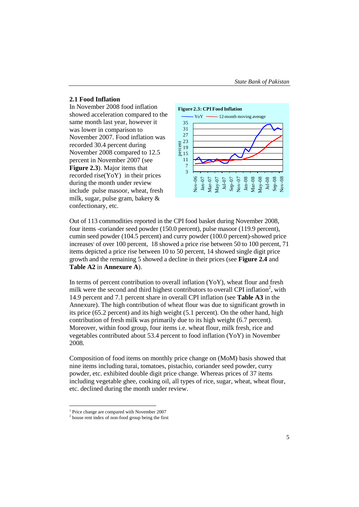#### **2.1 Food Inflation**

In November 2008 food inflation showed acceleration compared to the same month last year, however it was lower in comparison to November 2007. Food inflation was recorded 30.4 percent during November 2008 compared to 12.5 percent in November 2007 (see **Figure 2.3**). Major items that recorded rise(YoY) in their prices during the month under review include pulse masoor, wheat, fresh milk, sugar, pulse gram, bakery & confectionary, etc.



Out of 113 commodities reported in the CPI food basket during November 2008, four items -coriander seed powder (150.0 percent), pulse masoor (119.9 percent), cumin seed powder (104.5 percent) and curry powder (100.0 percent)-showed price increases <sup>1</sup> of over 100 percent, 18 showed a price rise between 50 to 100 percent, 71 items depicted a price rise between 10 to 50 percent, 14 showed single digit price growth and the remaining 5 showed a decline in their prices (see **Figure 2.4** and **Table A2** in **Annexure A**).

In terms of percent contribution to overall inflation (YoY), wheat flour and fresh milk were the second and third highest contributors to overall CPI inflation<sup>2</sup>, with 14.9 percent and 7.1 percent share in overall CPI inflation (see **Table A3** in the Annexure). The high contribution of wheat flour was due to significant growth in its price (65.2 percent) and its high weight (5.1 percent). On the other hand, high contribution of fresh milk was primarily due to its high weight (6.7 percent). Moreover, within food group, four items i.e. wheat flour, milk fresh, rice and vegetables contributed about 53.4 percent to food inflation (YoY) in November 2008.

Composition of food items on monthly price change on (MoM) basis showed that nine items including turai, tomatoes, pistachio, coriander seed powder, curry powder, etc. exhibited double digit price change. Whereas prices of 37 items including vegetable ghee, cooking oil, all types of rice, sugar, wheat, wheat flour, etc. declined during the month under review.

1

<sup>1</sup> Price change are compared with November 2007

<sup>&</sup>lt;sup>2</sup> house rent index of non-food group being the first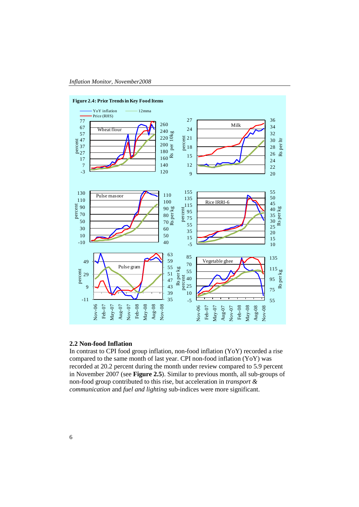

#### **Figure 2.4: Price Trends in Key Food Items**

#### **2.2 Non-food Inflation**

In contrast to CPI food group inflation, non-food inflation (YoY) recorded a rise compared to the same month of last year. CPI non-food inflation (YoY) was recorded at 20.2 percent during the month under review compared to 5.9 percent in November 2007 (see **Figure 2.5**). Similar to previous month, all sub-groups of non-food group contributed to this rise, but acceleration in *transport & communication* and *fuel and lighting* sub-indices were more significant.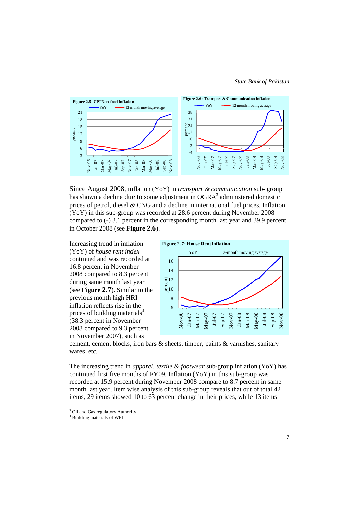

Since August 2008, inflation (YoY) in *transport & communication* sub- group has shown a decline due to some adjustment in  $OGRA^3$  administered domestic prices of petrol, diesel & CNG and a decline in international fuel prices*.* Inflation (YoY) in this sub-group was recorded at 28.6 percent during November 2008 compared to (-) 3.1 percent in the corresponding month last year and 39.9 percent in October 2008 (see **Figure 2.6**).

Increasing trend in inflation (YoY) of *house rent index*  continued and was recorded at 16.8 percent in November 2008 compared to 8.3 percent during same month last year (see **Figure 2.7**). Similar to the previous month high HRI inflation reflects rise in the prices of building materials<sup>4</sup> (38.3 percent in November 2008 compared to 9.3 percent in November 2007), such as



cement, cement blocks, iron bars & sheets, timber, paints & varnishes, sanitary wares, etc.

The increasing trend in *apparel, textile & footwear* sub-group inflation (YoY) has continued first five months of FY09. Inflation (YoY) in this sub-group was recorded at 15.9 percent during November 2008 compare to 8.7 percent in same month last year. Item wise analysis of this sub-group reveals that out of total 42 items, 29 items showed 10 to 63 percent change in their prices, while 13 items

1

<sup>&</sup>lt;sup>3</sup> Oil and Gas regulatory Authority

<sup>4</sup> Building materials of WPI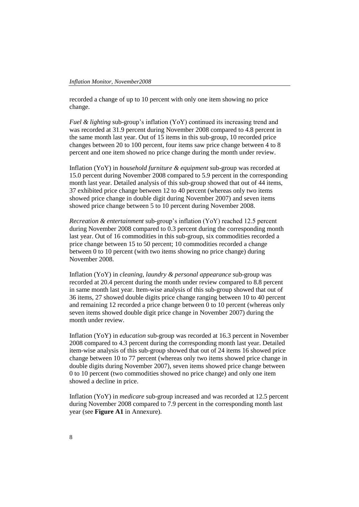recorded a change of up to 10 percent with only one item showing no price change.

*Fuel & lighting* sub-group's inflation (YoY) continued its increasing trend and was recorded at 31.9 percent during November 2008 compared to 4.8 percent in the same month last year. Out of 15 items in this sub-group, 10 recorded price changes between 20 to 100 percent, four items saw price change between 4 to 8 percent and one item showed no price change during the month under review.

Inflation (YoY) in *household furniture & equipment* sub-group was recorded at 15.0 percent during November 2008 compared to 5.9 percent in the corresponding month last year. Detailed analysis of this sub-group showed that out of 44 items, 37 exhibited price change between 12 to 40 percent (whereas only two items showed price change in double digit during November 2007) and seven items showed price change between 5 to 10 percent during November 2008.

*Recreation & entertainment* sub-group's inflation (YoY) reached 12.5 percent during November 2008 compared to 0.3 percent during the corresponding month last year. Out of 16 commodities in this sub-group, six commodities recorded a price change between 15 to 50 percent; 10 commodities recorded a change between 0 to 10 percent (with two items showing no price change) during November 2008.

Inflation (YoY) in *cleaning, laundry & personal appearance* sub-group was recorded at 20.4 percent during the month under review compared to 8.8 percent in same month last year. Item-wise analysis of this sub-group showed that out of 36 items, 27 showed double digits price change ranging between 10 to 40 percent and remaining 12 recorded a price change between 0 to 10 percent (whereas only seven items showed double digit price change in November 2007) during the month under review.

Inflation (YoY) in *education* sub-group was recorded at 16.3 percent in November 2008 compared to 4.3 percent during the corresponding month last year. Detailed item-wise analysis of this sub-group showed that out of 24 items 16 showed price change between 10 to 77 percent (whereas only two items showed price change in double digits during November 2007), seven items showed price change between 0 to 10 percent (two commodities showed no price change) and only one item showed a decline in price.

Inflation (YoY) in *medicare* sub-group increased and was recorded at 12.5 percent during November 2008 compared to 7.9 percent in the corresponding month last year (see **Figure A1** in Annexure).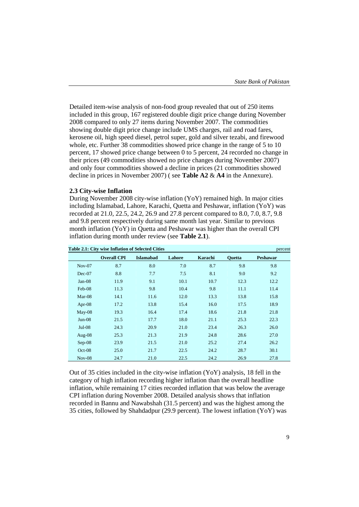Detailed item-wise analysis of non-food group revealed that out of 250 items included in this group, 167 registered double digit price change during November 2008 compared to only 27 items during November 2007. The commodities showing double digit price change include UMS charges, rail and road fares, kerosene oil, high speed diesel, petrol super, gold and silver tezabi, and firewood whole, etc. Further 38 commodities showed price change in the range of 5 to 10 percent, 17 showed price change between 0 to 5 percent, 24 recorded no change in their prices (49 commodities showed no price changes during November 2007) and only four commodities showed a decline in prices (21 commodities showed decline in prices in November 2007) ( see **Table A2** & **A4** in the Annexure).

#### **2.3 City-wise Inflation**

During November 2008 city-wise inflation (YoY) remained high. In major cities including Islamabad, Lahore, Karachi, Quetta and Peshawar, inflation (YoY) was recorded at 21.0, 22.5, 24.2, 26.9 and 27.8 percent compared to 8.0, 7.0, 8.7, 9.8 and 9.8 percent respectively during same month last year. Similar to previous month inflation (YoY) in Quetta and Peshawar was higher than the overall CPI inflation during month under review (see **Table 2.1**).

|           | Table 2.1: City wise Inflation of Selected Cities |                  |        |         |               | percent         |  |
|-----------|---------------------------------------------------|------------------|--------|---------|---------------|-----------------|--|
|           | <b>Overall CPI</b>                                | <b>Islamabad</b> | Lahore | Karachi | <b>Ouetta</b> | <b>Peshawar</b> |  |
| $Nov-07$  | 8.7                                               | 8.0              | 7.0    | 8.7     | 9.8           | 9.8             |  |
| $Dec-07$  | 8.8                                               | 7.7              | 7.5    | 8.1     | 9.0           | 9.2             |  |
| $Jan-08$  | 11.9                                              | 9.1              | 10.1   | 10.7    | 12.3          | 12.2            |  |
| Feb-08    | 11.3                                              | 9.8              | 10.4   | 9.8     | 11.1          | 11.4            |  |
| $Mar-08$  | 14.1                                              | 11.6             | 12.0   | 13.3    | 13.8          | 15.8            |  |
| Apr- $08$ | 17.2                                              | 13.8             | 15.4   | 16.0    | 17.5          | 18.9            |  |
| May-08    | 19.3                                              | 16.4             | 17.4   | 18.6    | 21.8          | 21.8            |  |
| $Jun-08$  | 21.5                                              | 17.7             | 18.0   | 21.1    | 25.3          | 22.3            |  |
| $Jul-08$  | 24.3                                              | 20.9             | 21.0   | 23.4    | 26.3          | 26.0            |  |
| Aug- $08$ | 25.3                                              | 21.3             | 21.9   | 24.8    | 28.6          | 27.0            |  |
| $Sep-08$  | 23.9                                              | 21.5             | 21.0   | 25.2    | 27.4          | 26.2            |  |
| $Oct-08$  | 25.0                                              | 21.7             | 22.5   | 24.2    | 28.7          | 30.1            |  |
| $Nov-08$  | 24.7                                              | 21.0             | 22.5   | 24.2    | 26.9          | 27.8            |  |

Out of 35 cities included in the city-wise inflation (YoY) analysis, 18 fell in the category of high inflation recording higher inflation than the overall headline inflation, while remaining 17 cities recorded inflation that was below the average CPI inflation during November 2008. Detailed analysis shows that inflation recorded in Bannu and Nawabshah (31.5 percent) and was the highest among the 35 cities, followed by Shahdadpur (29.9 percent). The lowest inflation (YoY) was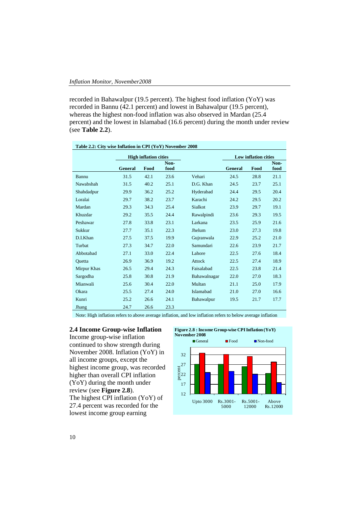recorded in Bahawalpur (19.5 percent). The highest food inflation (YoY) was recorded in Bannu (42.1 percent) and lowest in Bahawalpur (19.5 percent), whereas the highest non-food inflation was also observed in Mardan (25.4 percent) and the lowest in Islamabad (16.6 percent) during the month under review (see **Table 2.2**).

| Table 2.2: City wise Inflation in CPI (YoY) November 2008 |                |                              |              |              |         |                             |              |  |  |
|-----------------------------------------------------------|----------------|------------------------------|--------------|--------------|---------|-----------------------------|--------------|--|--|
|                                                           |                | <b>High inflation cities</b> |              |              |         | <b>Low inflation cities</b> |              |  |  |
|                                                           | <b>General</b> | Food                         | Non-<br>food |              | General | Food                        | Non-<br>food |  |  |
| Bannu                                                     | 31.5           | 42.1                         | 23.6         | Vehari       | 24.5    | 28.8                        | 21.1         |  |  |
| Nawabshah                                                 | 31.5           | 40.2                         | 25.1         | D.G. Khan    | 24.5    | 23.7                        | 25.1         |  |  |
| Shahdadpur                                                | 29.9           | 36.2                         | 25.2         | Hyderabad    | 24.4    | 29.5                        | 20.4         |  |  |
| Loralai                                                   | 29.7           | 38.2                         | 23.7         | Karachi      | 24.2    | 29.5                        | 20.2         |  |  |
| Mardan                                                    | 29.3           | 34.3                         | 25.4         | Sialkot      | 23.9    | 29.7                        | 19.1         |  |  |
| Khuzdar                                                   | 29.2           | 35.5                         | 24.4         | Rawalpindi   | 23.6    | 29.3                        | 19.5         |  |  |
| Peshawar                                                  | 27.8           | 33.8                         | 23.1         | Larkana      | 23.5    | 25.9                        | 21.6         |  |  |
| Sukkur                                                    | 27.7           | 35.1                         | 22.3         | Jhelum       | 23.0    | 27.3                        | 19.8         |  |  |
| D.I.Khan                                                  | 27.5           | 37.5                         | 19.9         | Gujranwala   | 22.9    | 25.2                        | 21.0         |  |  |
| Turbat                                                    | 27.3           | 34.7                         | 22.0         | Samundari    | 22.6    | 23.9                        | 21.7         |  |  |
| Abbotabad                                                 | 27.1           | 33.0                         | 22.4         | Lahore       | 22.5    | 27.6                        | 18.4         |  |  |
| Quetta                                                    | 26.9           | 36.9                         | 19.2         | Attock       | 22.5    | 27.4                        | 18.9         |  |  |
| Mirpur Khas                                               | 26.5           | 29.4                         | 24.3         | Faisalabad   | 22.5    | 23.8                        | 21.4         |  |  |
| Sargodha                                                  | 25.8           | 30.8                         | 21.9         | Bahawalnagar | 22.0    | 27.0                        | 18.3         |  |  |
| Mianwali                                                  | 25.6           | 30.4                         | 22.0         | Multan       | 21.1    | 25.0                        | 17.9         |  |  |
| Okara                                                     | 25.5           | 27.4                         | 24.0         | Islamabad    | 21.0    | 27.0                        | 16.6         |  |  |
| Kunri                                                     | 25.2           | 26.6                         | 24.1         | Bahawalpur   | 19.5    | 21.7                        | 17.7         |  |  |
| Jhang                                                     | 24.7           | 26.6                         | 23.3         |              |         |                             |              |  |  |

Note: High inflation refers to above average inflation, and low inflation refers to below average inflation

### **2.4 Income Group-wise Inflation**

Income group-wise inflation continued to show strength during November 2008. Inflation (YoY) in all income groups, except the highest income group, was recorded higher than overall CPI inflation (YoY) during the month under review (see **Figure 2.8**). The highest CPI inflation (YoY) of 27.4 percent was recorded for the lowest income group earning

**Figure 2.8 : Income Group-wise CPI Inflation (YoY)** 

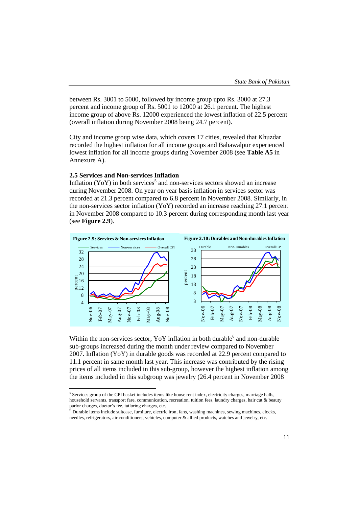between Rs. 3001 to 5000, followed by income group upto Rs. 3000 at 27.3 percent and income group of Rs. 5001 to 12000 at 26.1 percent. The highest income group of above Rs. 12000 experienced the lowest inflation of 22.5 percent (overall inflation during November 2008 being 24.7 percent).

City and income group wise data, which covers 17 cities, revealed that Khuzdar recorded the highest inflation for all income groups and Bahawalpur experienced lowest inflation for all income groups during November 2008 (see **Table A5** in Annexure A).

#### **2.5 Services and Non-services Inflation**

1

Inflation (YoY) in both services<sup>5</sup> and non-services sectors showed an increase during November 2008. On year on year basis inflation in services sector was recorded at 21.3 percent compared to 6.8 percent in November 2008. Similarly, in the non-services sector inflation (YoY) recorded an increase reaching 27.1 percent in November 2008 compared to 10.3 percent during corresponding month last year (see **Figure 2.9**).



Within the non-services sector,  $YoY$  inflation in both durable and non-durable sub-groups increased during the month under review compared to November 2007. Inflation (YoY) in durable goods was recorded at 22.9 percent compared to 11.1 percent in same month last year. This increase was contributed by the rising prices of all items included in this sub-group, however the highest inflation among the items included in this subgroup was jewelry (26.4 percent in November 2008

<sup>&</sup>lt;sup>5</sup> Services group of the CPI basket includes items like house rent index, electricity charges, marriage halls, household servants, transport fare, communication, recreation, tuition fees, laundry charges, hair cut & beauty parlor charges, doctor's fee, tailoring charges, etc.<br><sup>6</sup> Durable items include suitcase, furniture, electric iron, fans, washing machines, sewing machines, clocks,

needles, refrigerators, air conditioners, vehicles, computer & allied products, watches and jewelry, etc.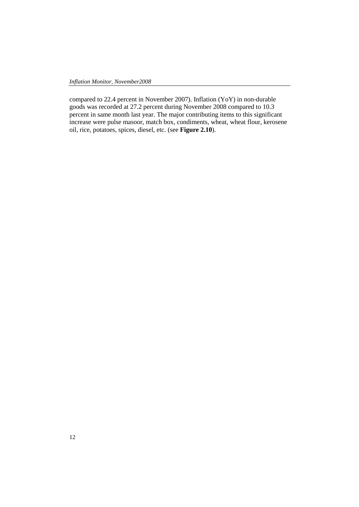compared to 22.4 percent in November 2007). Inflation (YoY) in non-durable goods was recorded at 27.2 percent during November 2008 compared to 10.3 percent in same month last year. The major contributing items to this significant increase were pulse masoor, match box, condiments, wheat, wheat flour, kerosene oil, rice, potatoes, spices, diesel, etc. (see **Figure 2.10**).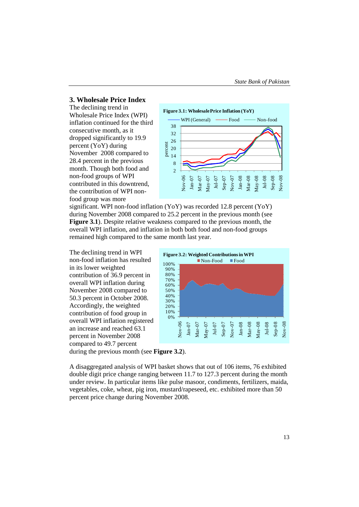## **3. Wholesale Price Index**

The declining trend in Wholesale Price Index (WPI) inflation continued for the third consecutive month, as it dropped significantly to 19.9 percent (YoY) during November 2008 compared to 28.4 percent in the previous month. Though both food and non-food groups of WPI contributed in this downtrend, the contribution of WPI nonfood group was more



significant. WPI non-food inflation (YoY) was recorded 12.8 percent (YoY) during November 2008 compared to 25.2 percent in the previous month (see **Figure 3.1**). Despite relative weakness compared to the previous month, the overall WPI inflation, and inflation in both both food and non-food groups remained high compared to the same month last year.

The declining trend in WPI non-food inflation has resulted in its lower weighted contribution of 36.9 percent in overall WPI inflation during November 2008 compared to 50.3 percent in October 2008. Accordingly, the weighted contribution of food group in overall WPI inflation registered an increase and reached 63.1 percent in November 2008 compared to 49.7 percent



during the previous month (see **Figure 3.2**).

A disaggregated analysis of WPI basket shows that out of 106 items, 76 exhibited double digit price change ranging between 11.7 to 127.3 percent during the month under review. In particular items like pulse masoor, condiments, fertilizers, maida, vegetables, coke, wheat, pig iron, mustard/rapeseed, etc. exhibited more than 50 percent price change during November 2008.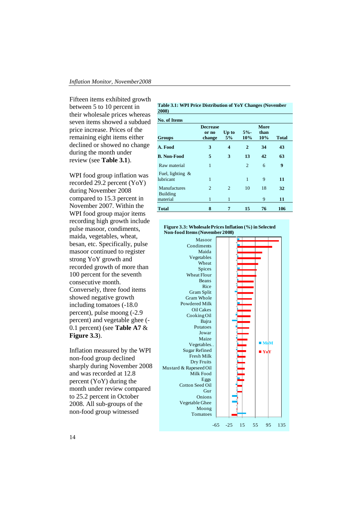Fifteen items exhibited growth between 5 to 10 percent in their wholesale prices whereas seven items showed a subdued price increase. Prices of the remaining eight items either declined or showed no change during the month under review (see **Table 3.1**).

WPI food group inflation was recorded 29.2 percent (YoY) during November 2008 compared to 15.3 percent in November 2007. Within the WPI food group major items recording high growth include pulse masoor, condiments, maida, vegetables, wheat, besan, etc. Specifically, pulse masoor continued to register strong YoY growth and recorded growth of more than 100 percent for the seventh consecutive month. Conversely, three food items showed negative growth including tomatoes (-18.0 percent), pulse moong (-2.9 percent) and vegetable ghee (- 0.1 percent) (see **Table A7** & **Figure 3.3**).

Inflation measured by the WPI non-food group declined sharply during November 2008 and was recorded at 12.8 percent (YoY) during the month under review compared to 25.2 percent in October 2008. All sub-groups of the non-food group witnessed

**Table 3.1: WPI Price Distribution of YoY Changes (November 2008)**

| <b>No. of Items</b>              |                                    |                |                |                     |              |
|----------------------------------|------------------------------------|----------------|----------------|---------------------|--------------|
| <b>Groups</b>                    | <b>Decrease</b><br>or no<br>change | Up to<br>5%    | $5% -$<br>10%  | More<br>than<br>10% | <b>Total</b> |
| A. Food                          | 3                                  | 4              | $\overline{2}$ | 34                  | 43           |
| <b>B. Non-Food</b>               | 5                                  | 3              | 13             | 42                  | 63           |
| Raw material                     | 1                                  |                | $\overline{2}$ | 6                   | 9            |
| Fuel, lighting $\&$<br>lubricant | 1                                  |                | 1              | 9                   | 11           |
| Manufactures                     | 2                                  | $\overline{2}$ | 10             | 18                  | 32           |
| Building<br>material             | 1                                  | 1              |                | 9                   | 11           |
| <b>Total</b>                     | 8                                  | 7              | 15             | 76                  | 106          |

#### **Figure 3.3: Wholesale Prices Inflation (%) in Selected Non-food Items (November 2008)**

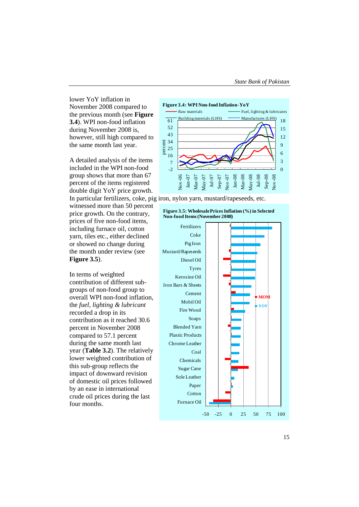lower YoY inflation in November 2008 compared to the previous month (see **Figure 3.4**). WPI non-food inflation during November 2008 is, however, still high compared to the same month last year.

A detailed analysis of the items included in the WPI non-food group shows that more than 67 percent of the items registered double digit YoY price growth.

witnessed more than 50 percent price growth. On the contrary, prices of five non-food items, including furnace oil, cotton yarn, tiles etc., either declined or showed no change during the month under review (see **Figure 3.5**).

In terms of weighted contribution of different subgroups of non-food group to overall WPI non-food inflation, the *fuel, lighting & lubricant* recorded a drop in its contribution as it reached 30.6 percent in November 2008 compared to 57.1 percent during the same month last year (**Table 3.2**). The relatively lower weighted contribution of this sub-group reflects the impact of downward revision of domestic oil prices followed by an ease in international crude oil prices during the last four months.



In particular fertilizers, coke, pig iron, nylon yarn, mustard/rapeseeds, etc.

#### **Figure 3.5: Wholesale Prices Inflation (%) in Selected Non-food Items (November 2008)**

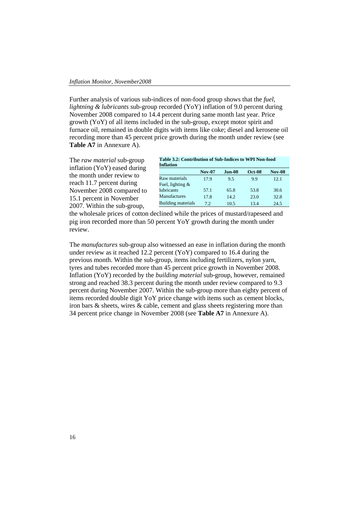Further analysis of various sub-indices of non-food group shows that the *fuel, lightning & lubricants* sub-group recorded (YoY) inflation of 9.0 percent during November 2008 compared to 14.4 percent during same month last year. Price growth (YoY) of all items included in the sub-group, except motor spirit and furnace oil, remained in double digits with items like coke; diesel and kerosene oil recording more than 45 percent price growth during the month under review (see **Table A7** in Annexure A).

The *raw material* sub-group inflation (YoY) eased during the month under review to reach 11.7 percent during November 2008 compared to 15.1 percent in November 2007. Within the sub-group,

| Table 3.2: Contribution of Sub-Indices to WPI Non-food<br><b>Inflation</b> |               |          |               |               |  |  |  |
|----------------------------------------------------------------------------|---------------|----------|---------------|---------------|--|--|--|
|                                                                            | <b>Nov-07</b> | $Jun-08$ | <b>Oct-08</b> | <b>Nov-08</b> |  |  |  |
| Raw materials                                                              | 17.9          | 9.5      | 99            | 12.1          |  |  |  |
| Fuel, lighting $&$                                                         |               |          |               |               |  |  |  |
| <b>lubricants</b>                                                          | 57.1          | 65.8     | 53.8          | 30.6          |  |  |  |
| Manufactures                                                               | 17.8          | 14.2     | 23.0          | 32.8          |  |  |  |
| <b>Building materials</b>                                                  | 72            | 10.5     | 13.4          | 24.5          |  |  |  |

the wholesale prices of cotton declined while the prices of mustard/rapeseed and pig iron recorded more than 50 percent YoY growth during the month under review.

The *manufactures* sub-group also witnessed an ease in inflation during the month under review as it reached 12.2 percent (YoY) compared to 16.4 during the previous month. Within the sub-group, items including fertilizers, nylon yarn, tyres and tubes recorded more than 45 percent price growth in November 2008. Inflation (YoY) recorded by the *building material* sub-group, however, remained strong and reached 38.3 percent during the month under review compared to 9.3 percent during November 2007. Within the sub-group more than eighty percent of items recorded double digit YoY price change with items such as cement blocks, iron bars & sheets, wires & cable, cement and glass sheets registering more than 34 percent price change in November 2008 (see **Table A7** in Annexure A).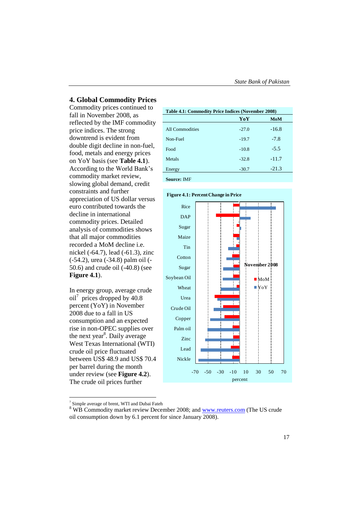## **4. Global Commodity Prices**

Commodity prices continued to fall in November 2008, as reflected by the IMF commodity price indices. The strong downtrend is evident from double digit decline in non-fuel, food, metals and energy prices on YoY basis (see **Table 4.1**). According to the World Bank's commodity market review, slowing global demand, credit constraints and further appreciation of US dollar versus euro contributed towards the decline in international commodity prices. Detailed analysis of commodities shows that all major commodities recorded a MoM decline i.e. nickel (-64.7), lead (-61.3), zinc (-54.2), urea (-34.8) palm oil (- 50.6) and crude oil (-40.8) (see **Figure 4.1**).

In energy group, average crude oil<sup>7</sup> prices dropped by 40.8 percent (YoY) in November 2008 due to a fall in US consumption and an expected rise in non-OPEC supplies over the next year<sup>8</sup>. Daily average West Texas International (WTI) crude oil price fluctuated between US\$ 48.9 and US\$ 70.4 per barrel during the month under review (see **Figure 4.2**). The crude oil prices further

| Table 4.1: Commodity Price Indices (November 2008) |         |            |  |  |  |  |  |
|----------------------------------------------------|---------|------------|--|--|--|--|--|
|                                                    | YoY     | <b>MoM</b> |  |  |  |  |  |
| All Commodities                                    | $-27.0$ | $-16.8$    |  |  |  |  |  |
| Non-Fuel                                           | $-19.7$ | $-7.8$     |  |  |  |  |  |
| Food                                               | $-10.8$ | $-5.5$     |  |  |  |  |  |
| Metals                                             | $-32.8$ | $-11.7$    |  |  |  |  |  |
| Energy                                             | $-30.7$ | $-21.3$    |  |  |  |  |  |
| <b>Source: IMF</b>                                 |         |            |  |  |  |  |  |





<sup>1</sup> 7 Simple average of brent, WTI and Dubai Fateh

<sup>&</sup>lt;sup>8</sup> WB Commodity market review December 2008; and [www.reuters.com](http://www.reuters.com/) (The US crude oil consumption down by 6.1 percent for since January 2008).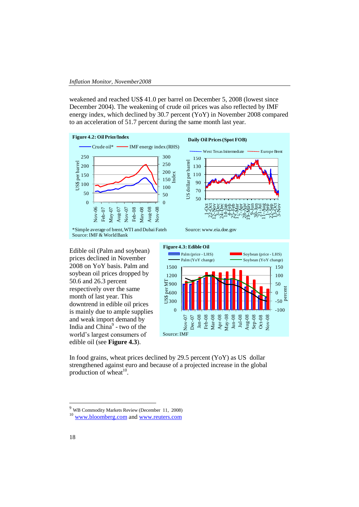weakened and reached US\$ 41.0 per barrel on December 5, 2008 (lowest since December 2004). The weakening of crude oil prices was also reflected by IMF energy index, which declined by 30.7 percent (YoY) in November 2008 compared to an acceleration of 51.7 percent during the same month last year.



Edible oil (Palm and soybean) prices declined in November 2008 on YoY basis. Palm and soybean oil prices dropped by 50.6 and 26.3 percent respectively over the same month of last year. This downtrend in edible oil prices is mainly due to ample supplies and weak import demand by India and China<sup>9</sup> - two of the world's largest consumers of edible oil (see **Figure 4.3**).



In food grains, wheat prices declined by 29.5 percent (YoY) as US dollar strengthened against euro and because of a projected increase in the global production of wheat<sup>10</sup>.

 $\overline{9}$ WB Commodity Markets Review (December 11, 2008)

<sup>&</sup>lt;sup>10</sup> [www.bloomberg.com](http://www.bloomberg.com/) and www.reuters.com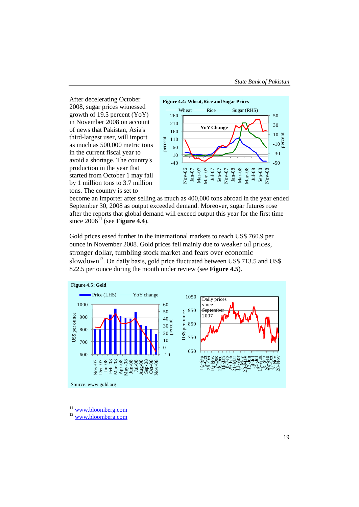After decelerating October 2008, sugar prices witnessed growth of 19.5 percent (YoY) in November 2008 on account of news that Pakistan, Asia's third-largest user, will import as much as 500,000 metric tons in the current fiscal year to avoid a shortage. The country's production in the year that started from October 1 may fall by 1 million tons to 3.7 million tons. The country is set to



become an importer after selling as much as 400,000 tons abroad in the year ended September 30, 2008 as output exceeded demand. Moreover, sugar futures rose after the reports that global demand will exceed output this year for the first time since  $2006^{11}$  (see Figure 4.4).

Gold prices eased further in the international markets to reach US\$ 760.9 per ounce in November 2008. Gold prices fell mainly due to weaker oil prices, stronger dollar, tumbling stock market and fears over economic slowdown<sup>12</sup>. On daily basis, gold price fluctuated between US\$ 713.5 and US\$ 822.5 per ounce during the month under review (see **Figure 4.5**).



 $\overline{11}$ www.bloomberg.com

<sup>&</sup>lt;sup>12</sup> www.bloomberg.com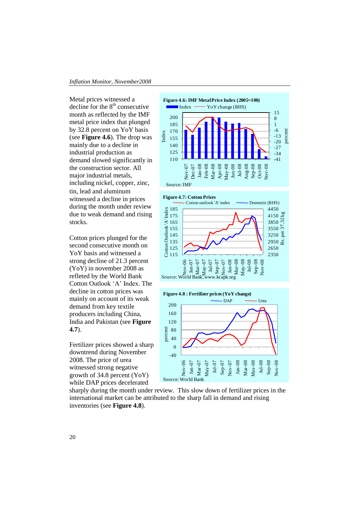Metal prices witnessed a decline for the  $8<sup>th</sup>$  consecutive month as reflected by the IMF metal price index that plunged by 32.8 percent on YoY basis (see **Figure 4.6**). The drop was mainly due to a decline in industrial production as demand slowed significantly in the construction sector. All major industrial metals, including nickel, copper, zinc, tin, lead and aluminum witnessed a decline in prices during the month under review due to weak demand and rising stocks.

Cotton prices plunged for the second consecutive month on YoY basis and witnessed a strong decline of 21.3 percent (YoY) in november 2008 as refleted by the World Bank Cotton Outlook 'A' Index. The decline in cotton prices was mainly on account of its weak demand from key textile producers including China, India and Pakistan (see **Figure 4.7**).

Fertilizer prices showed a sharp downtrend during November 2008. The price of urea witnessed strong negative growth of 34.8 percent (YoY) while DAP prices decelerated



Source: IMF





sharply during the month under review. This slow down of fertilizer prices in the international market can be attributed to the sharp fall in demand and rising inventories (see **Figure 4.8**).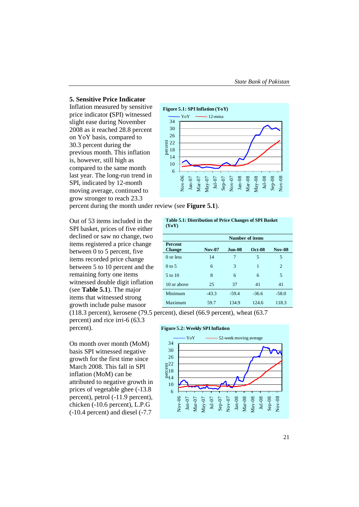#### **5. Sensitive Price Indicator**

Inflation measured by sensitive price indicator **(**SPI) witnessed slight ease during November 2008 as it reached 28.8 percent on YoY basis, compared to 30.3 percent during the previous month. This inflation is, however, still high as compared to the same month last year. The long-run trend in SPI, indicated by 12-month moving average, continued to grow stronger to reach 23.3



percent during the month under review (see **Figure 5.1**).

Out of 53 items included in the SPI basket, prices of five either declined or saw no change, two items registered a price change between 0 to 5 percent, five items recorded price change between 5 to 10 percent and the remaining forty one items witnessed double digit inflation (see **Table 5.1**). The major items that witnessed strong growth include pulse masoor

percent) and rice irri-6 (63.3 percent).

On month over month (MoM) basis SPI witnessed negative growth for the first time since March 2008. This fall in SPI inflation (MoM) can be attributed to negative growth in prices of vegetable ghee (-13.8 percent), petrol (-11.9 percent), chicken (-10.6 percent), L.P.G (-10.4 percent) and diesel (-7.7

**Table 5.1: Distribution of Price Changes of SPI Basket (YoY)**

| 1 T O T 1                       |                        |          |               |                |  |  |  |  |
|---------------------------------|------------------------|----------|---------------|----------------|--|--|--|--|
|                                 | <b>Number of items</b> |          |               |                |  |  |  |  |
| <b>Percent</b><br><b>Change</b> | <b>Nov-07</b>          | $Jun-08$ | <b>Oct-08</b> | <b>Nov-08</b>  |  |  |  |  |
| 0 or less                       | 14                     | 7        | 5             | 5              |  |  |  |  |
| $0$ to 5                        | 6                      | 3        | 1             | $\overline{c}$ |  |  |  |  |
| $5$ to $10$                     | 8                      | 6        | 6             | 5              |  |  |  |  |
| 10 or above                     | 25                     | 37       | 41            | 41             |  |  |  |  |
| Minimum                         | $-43.3$                | $-59.4$  | $-36.6$       | $-58.0$        |  |  |  |  |
| Maximum                         | 59.7                   | 134.9    | 124.6         | 118.3          |  |  |  |  |

(118.3 percent), kerosene (79.5 percent), diesel (66.9 percent), wheat (63.7



21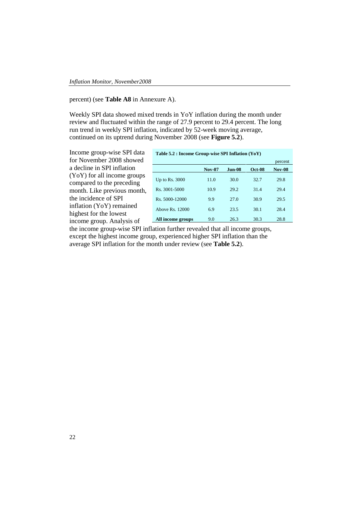#### percent) (see **Table A8** in Annexure A).

Weekly SPI data showed mixed trends in YoY inflation during the month under review and fluctuated within the range of 27.9 percent to 29.4 percent. The long run trend in weekly SPI inflation, indicated by 52-week moving average, continued on its uptrend during November 2008 (see **Figure 5.2**).

Income group-wise SPI data for November 2008 showed a decline in SPI inflation (YoY) for all income groups compared to the preceding month. Like previous month, the incidence of SPI inflation (YoY) remained highest for the lowest income group. Analysis of

| Table 5.2 : Income Group-wise SPI Inflation (YoY) |               |         |               |               |  |  |  |
|---------------------------------------------------|---------------|---------|---------------|---------------|--|--|--|
|                                                   |               |         |               | percent       |  |  |  |
|                                                   | <b>Nov-07</b> | Jun-08. | <b>Oct-08</b> | <b>Nov-08</b> |  |  |  |
| Up to Rs. $3000$                                  | 11.0          | 30.0    | 32.7          | 29.8          |  |  |  |
| R <sub>s</sub> . 3001-5000                        | 10.9          | 29.2    | 31.4          | 29.4          |  |  |  |
| Rs. 5000-12000                                    | 9.9           | 27.0    | 30.9          | 29.5          |  |  |  |
| Above Rs. 12000                                   | 6.9           | 23.5    | 30.1          | 28.4          |  |  |  |
| All income groups                                 | 9.0           | 26.3    | 30.3          | 28.8          |  |  |  |

the income group-wise SPI inflation further revealed that all income groups, except the highest income group, experienced higher SPI inflation than the average SPI inflation for the month under review (see **Table 5.2**).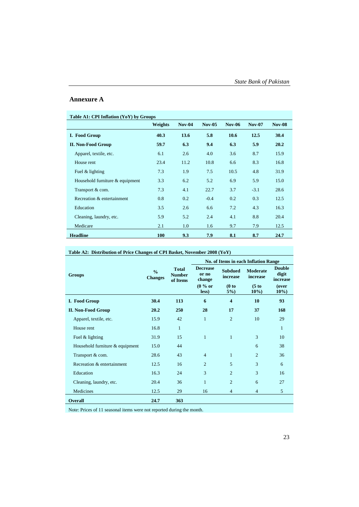#### **Annexure A**

## **Table A1: CPI Inflation (YoY) by Groups Weights Nov-04 Nov-05 Nov-06 Nov-07 Nov-08 I. Food Group 40.3 13.6 5.8 10.6 12.5 30.4 II. Non-Food Group 59.7 6.3 9.4 6.3 5.9 20.2** Apparel, textile, etc. 6.1 2.6 4.0 3.6 8.7 15.9 House rent 23.4 11.2 10.8 6.6 8.3 16.8 Fuel & lighting 7.3 1.9 7.5 10.5 4.8 31.9 Household furniture & equipment 3.3 6.2 5.2 6.9 5.9 15.0 Transport & com. 7.3 4.1 22.7 3.7 -3.1 28.6 Recreation & entertainment 0.8 0.2 -0.4 0.2 0.3 12.5 Education 3.5 2.6 6.6 7.2 4.3 16.3 Cleaning, laundry, etc. 5.9 5.2 2.4 4.1 8.8 20.4 Medicare 2.1 1.0 1.6 9.7 7.9 12.5 **Headline 100 9.3 7.9 8.1 8.7 24.7**

#### **Table A2: Distribution of Price Changes of CPI Basket, November 2008 (YoY)**

|                                 |                                 |                                           | No. of Items in each Inflation Range |                            |                             |                                    |
|---------------------------------|---------------------------------|-------------------------------------------|--------------------------------------|----------------------------|-----------------------------|------------------------------------|
| <b>Groups</b>                   | $\frac{0}{0}$<br><b>Changes</b> | <b>Total</b><br><b>Number</b><br>of Items | <b>Decrease</b><br>or no<br>change   | <b>Subdued</b><br>increase | <b>Moderate</b><br>increase | <b>Double</b><br>digit<br>increase |
|                                 |                                 |                                           | $(0\%$ or<br>less)                   | (0 to<br>$5\%)$            | (5 to<br>$10\%$             | (over<br>$10\%$                    |
| I. Food Group                   | 30.4                            | 113                                       | 6                                    | $\overline{\bf{4}}$        | 10                          | 93                                 |
| <b>II. Non-Food Group</b>       | 20.2                            | 250                                       | 28                                   | 17                         | 37                          | 168                                |
| Apparel, textile, etc.          | 15.9                            | 42                                        | $\mathbf{1}$                         | $\overline{c}$             | 10                          | 29                                 |
| House rent                      | 16.8                            | 1                                         |                                      |                            |                             | $\mathbf{1}$                       |
| Fuel & lighting                 | 31.9                            | 15                                        | $\mathbf{1}$                         | $\mathbf{1}$               | 3                           | 10                                 |
| Household furniture & equipment | 15.0                            | 44                                        |                                      |                            | 6                           | 38                                 |
| Transport & com.                | 28.6                            | 43                                        | $\overline{4}$                       | $\mathbf{1}$               | $\overline{c}$              | 36                                 |
| Recreation & entertainment      | 12.5                            | 16                                        | $\overline{c}$                       | 5                          | 3                           | 6                                  |
| Education                       | 16.3                            | 24                                        | 3                                    | $\overline{2}$             | 3                           | 16                                 |
| Cleaning, laundry, etc.         | 20.4                            | 36                                        | $\mathbf{1}$                         | $\overline{2}$             | 6                           | 27                                 |
| Medicines                       | 12.5                            | 29                                        | 16                                   | $\overline{4}$             | $\overline{4}$              | 5                                  |
| <b>Overall</b>                  | 24.7                            | 363                                       |                                      |                            |                             |                                    |

Note: Prices of 11 seasonal items were not reported during the month.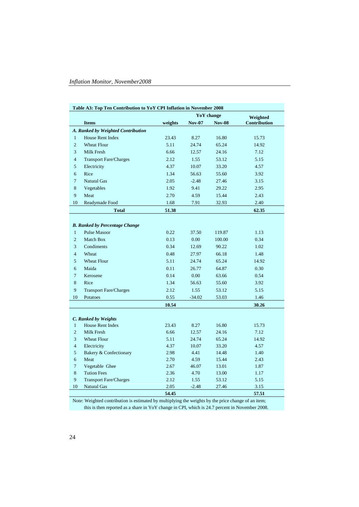|                | Table A3: Top Ten Contribution to YoY CPI Inflation in November 2008 |         |               |               |              |  |  |  |
|----------------|----------------------------------------------------------------------|---------|---------------|---------------|--------------|--|--|--|
|                |                                                                      |         | Weighted      |               |              |  |  |  |
|                | <b>Items</b>                                                         | weights | <b>Nov-07</b> | <b>Nov-08</b> | Contribution |  |  |  |
|                | A. Ranked by Weighted Contribution                                   |         |               |               |              |  |  |  |
| $\mathbf{1}$   | House Rent Index                                                     | 23.43   | 8.27          | 16.80         | 15.73        |  |  |  |
| $\overline{c}$ | <b>Wheat Flour</b>                                                   | 5.11    | 24.74         | 65.24         | 14.92        |  |  |  |
| 3              | Milk Fresh                                                           | 6.66    | 12.57         | 24.16         | 7.12         |  |  |  |
| $\overline{4}$ | <b>Transport Fare/Charges</b>                                        | 2.12    | 1.55          | 53.12         | 5.15         |  |  |  |
| 5              | Electricity                                                          | 4.37    | 10.07         | 33.20         | 4.57         |  |  |  |
| 6              | Rice                                                                 | 1.34    | 56.63         | 55.60         | 3.92         |  |  |  |
| $\overline{7}$ | <b>Natural Gas</b>                                                   | 2.05    | $-2.48$       | 27.46         | 3.15         |  |  |  |
| 8              | Vegetables                                                           | 1.92    | 9.41          | 29.22         | 2.95         |  |  |  |
| 9              | Meat                                                                 | 2.70    | 4.59          | 15.44         | 2.43         |  |  |  |
| 10             | Readymade Food                                                       | 1.68    | 7.91          | 32.93         | 2.40         |  |  |  |
|                | <b>Total</b>                                                         | 51.38   |               |               | 62.35        |  |  |  |
|                |                                                                      |         |               |               |              |  |  |  |
|                | <b>B.</b> Ranked by Percentage Change                                |         |               |               |              |  |  |  |
| $\mathbf{1}$   | <b>Pulse Masoor</b>                                                  | 0.22    | 37.50         | 119.87        | 1.13         |  |  |  |
| $\overline{2}$ | <b>Match Box</b>                                                     | 0.13    | 0.00          | 100.00        | 0.34         |  |  |  |
| 3              | Condiments                                                           | 0.34    | 12.69         | 90.22         | 1.02         |  |  |  |
| $\overline{4}$ | Wheat                                                                | 0.48    | 27.97         | 66.18         | 1.48         |  |  |  |
| 5              | <b>Wheat Flour</b>                                                   | 5.11    | 24.74         | 65.24         | 14.92        |  |  |  |
| 6              | Maida                                                                | 0.11    | 26.77         | 64.87         | 0.30         |  |  |  |
| $\overline{7}$ | Kerosene                                                             | 0.14    | 0.00          | 63.66         | 0.54         |  |  |  |
| 8              | Rice                                                                 | 1.34    | 56.63         | 55.60         | 3.92         |  |  |  |
| 9              | <b>Transport Fare/Charges</b>                                        | 2.12    | 1.55          | 53.12         | 5.15         |  |  |  |
| 10             | Potatoes                                                             | 0.55    | $-34.02$      | 53.03         | 1.46         |  |  |  |
|                |                                                                      | 10.54   |               |               | 30.26        |  |  |  |
|                |                                                                      |         |               |               |              |  |  |  |
|                | C. Ranked by Weights                                                 |         |               |               |              |  |  |  |
| $\mathbf{1}$   | House Rent Index                                                     | 23.43   | 8.27          | 16.80         | 15.73        |  |  |  |
| $\overline{c}$ | Milk Fresh                                                           | 6.66    | 12.57         | 24.16         | 7.12         |  |  |  |
| 3              | <b>Wheat Flour</b>                                                   | 5.11    | 24.74         | 65.24         | 14.92        |  |  |  |
| $\overline{4}$ | Electricity                                                          | 4.37    | 10.07         | 33.20         | 4.57         |  |  |  |
| 5              | Bakery & Confectionary                                               | 2.98    | 4.41          | 14.48         | 1.40         |  |  |  |
| 6              | Meat                                                                 | 2.70    | 4.59          | 15.44         | 2.43         |  |  |  |
| 7              | Vegetable Ghee                                                       | 2.67    | 46.07         | 13.01         | 1.87         |  |  |  |
| $\,8\,$        | <b>Tution Fees</b>                                                   | 2.36    | 4.70          | 13.00         | 1.17         |  |  |  |
| 9              | <b>Transport Fare/Charges</b>                                        | 2.12    | 1.55          | 53.12         | 5.15         |  |  |  |
| 10             | <b>Natural Gas</b>                                                   | 2.05    | $-2.48$       | 27.46         | 3.15         |  |  |  |
|                |                                                                      | 54.45   |               |               | 57.51        |  |  |  |

Note: Weighted contribution is estimated by multiplying the weights by the price change of an item; this is then reported as a share in YoY change in CPI, which is 24.7 percent in November 2008.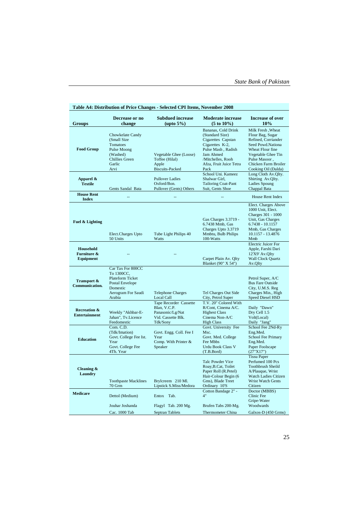|                                                     | Decrease or no                                                                                                            | <b>Subdued increase</b>                                                                             | <b>Moderate increase</b>                                                                                                                                           | <b>Increase of over</b>                                                                                                                                                     |
|-----------------------------------------------------|---------------------------------------------------------------------------------------------------------------------------|-----------------------------------------------------------------------------------------------------|--------------------------------------------------------------------------------------------------------------------------------------------------------------------|-----------------------------------------------------------------------------------------------------------------------------------------------------------------------------|
| Groups                                              | change                                                                                                                    | $(\text{upto } 5\%)$                                                                                | $(5 to 10\%)$                                                                                                                                                      | 10%                                                                                                                                                                         |
| <b>Food Group</b>                                   | Chowkelate Candy<br>(Small Size<br><b>Tomatoes</b><br>Pulse Moong<br>(Washed)<br><b>Chillies Green</b><br>Garlic          | Vegetable Ghee (Loose)<br>Toffee (Hilal)<br>Apple                                                   | Bananas, Cold Drink<br>(Standard Size)<br>Cigarettes Capstan<br>Cigarettes K-2,<br>Pulse Mash, Radish<br>Jam Ahmed<br>/Mitchelles, Rooh<br>Afza, Fruit Juice Tetra | <b>Milk Fresh, Wheat</b><br>Flour Bag, Sugar<br>Refined, Corriander<br>Seed Powd.Nationa<br>Wheat Flour fine<br>Vegetable Ghee Tin<br>Pulse Masoor,<br>Chicken Farm Broiler |
|                                                     | Arvi                                                                                                                      | <b>Biscuits-Packed</b>                                                                              | Pack<br>School Uni. Kameez                                                                                                                                         | Cooking Oil (Dalda)<br>Long Cloth Av.Qlty.                                                                                                                                  |
| Apparel &<br><b>Textile</b>                         | Gents Sandal Bata                                                                                                         | <b>Pullover Ladies</b><br>Oxford/Bon.<br>Pullover (Gents) Others                                    | Shalwar Girl,<br><b>Tailoring Coat-Pant</b><br>Suit, Gents Shoe                                                                                                    | Shirting Av.Qlty.<br><b>Ladies Spoung</b><br>Chappal Bata                                                                                                                   |
| <b>House Rent</b><br><b>Index</b>                   |                                                                                                                           |                                                                                                     |                                                                                                                                                                    | House Rent Index                                                                                                                                                            |
| Fuel & Lighting                                     | Elect.Charges Upto<br>50 Units                                                                                            | Tube Light Philips 40<br>Watts                                                                      | Gas Charges 3.3719 -<br>6.7438 Mmb, Gas<br>Charges Upto 3.3719<br>Mmbtu, Bulb Philips<br>100-Watts                                                                 | Elect. Charges Above<br>1000 Unit, Elect.<br>Charges 301 - 1000<br>Unit, Gas Charges<br>6.7438 - 10.1157<br>Mmb, Gas Charges<br>10.1157 - 13.4876<br>Mmb                    |
| <b>Household</b><br>Furniture &<br><b>Equipment</b> |                                                                                                                           |                                                                                                     | Carpet Plain Av. Qlty<br>Blanket (90" X 54")                                                                                                                       | <b>Electric Juicer For</b><br>Apple, Farshi Dari<br>12'X9' Av.Qlty<br><b>Wall Clock Quartz</b><br>Av.Qlty                                                                   |
| Transport &<br><b>Communication.</b>                | Car Tax For 800CC<br>To 1300CC,<br>Plateform Ticket<br><b>Postal Envelope</b><br>Domestic<br>Aerogram For Saudi<br>Arabia | <b>Telephone Charges</b><br>Local Call                                                              | Tel Charges Out Side<br>City, Petrol Super                                                                                                                         | Petrol Super, A/C<br><b>Bus Fare Outside</b><br>City, U.M.S. Reg<br>Charges Min., High<br>Speed Diesel HSD                                                                  |
| <b>Recreation &amp;</b><br><b>Entertainment</b>     | Weekly "Akhbar-E-<br>Jahan", Tv.Licence<br>Feedomestic                                                                    | <b>Tape Recorder Cassette</b><br>Blan, V.C.P.<br>Panasonic/Lg/Nat<br>Vid. Cassette Blk.<br>Tdk/Sony | T.V. 20" Colored With<br>R/Cont. Cinema A/C.<br><b>Highest Class</b><br>Cinema Non-A/C<br><b>High Class</b>                                                        | Daily "Dawn"<br>Dry Cell 1.5<br>Volt(Local)<br>Daily "Jang"                                                                                                                 |
| <b>Education</b>                                    | Com. C.D.<br>(Tdk/Imation)<br>Govt. College Fee Ist.<br>Year<br>Govt. College Fee<br>4Th. Year                            | Govt. Engg. Coll. Fee I<br>Year<br>Comp. With Printer &<br>Speaker                                  | Govt. University Fee<br>Msc.<br>Govt. Med. College<br>Fee Mbbs<br><b>Urdu Book Class V</b><br>(T.B.Bord)                                                           | School Fee 2Nd-Ry<br>Eng.Med.<br><b>School Fee Primary</b><br>Eng.Med.<br>Paper Foolscape<br>(27"X17")                                                                      |
| Cleaning &<br>Laundry                               | <b>Toothpaste Macklines</b><br>70 Grm                                                                                     | Brylcreem 210 Ml.<br>Lipstick S.Miss/Medora                                                         | <b>Talc Powder Vice</b><br>Roay, B.Cat, Toilet<br>Paper Roll (R.Petel)<br>Hair-Colour Begin (6<br>Gms), Blade Treet<br>Ordinary 10'S                               | <b>Tissu Paper</b><br>Perfumed 100 Pcs<br><b>Toothbrush Sheild</b><br>A/Plauque, Wrist<br><b>Watch Ladies Citizen</b><br>Wrist Watch Gents<br>Citizen                       |
| <b>Medicare</b>                                     | Dettol (Medium)                                                                                                           | Entox Tab.                                                                                          | Cotton Bandage 2" -<br>4"                                                                                                                                          | Doctor (MBBS)<br>Clinic Fee<br>Gripe-Water                                                                                                                                  |
|                                                     | Jouhar Joshanda                                                                                                           | Flagyl Tab. 200 Mg.                                                                                 | Brufen Tabs 200-Mg.                                                                                                                                                | Woodwards                                                                                                                                                                   |
|                                                     | Cac. 1000 Tab                                                                                                             | Septran Tablets                                                                                     | Thermometer China                                                                                                                                                  | Galxos-D (450 Grms)                                                                                                                                                         |

## **Table A4: Distribution of Price Changes - Selected CPI Items, November 2008**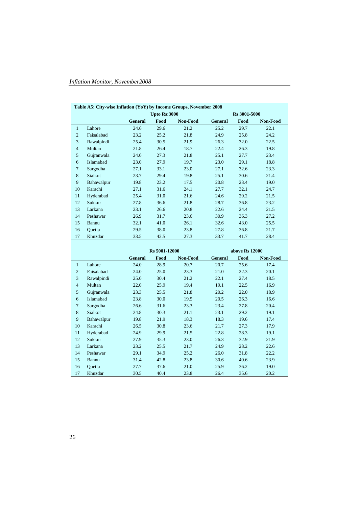|                | Table A5: City-wise Inflation (YoY) by Income Groups, November 2008 |                |                     |          |                |      |          |  |
|----------------|---------------------------------------------------------------------|----------------|---------------------|----------|----------------|------|----------|--|
|                |                                                                     |                | <b>Upto Rs:3000</b> |          | Rs 3001-5000   |      |          |  |
|                |                                                                     | <b>General</b> | Food                | Non-Food | <b>General</b> | Food | Non-Food |  |
| 1              | Lahore                                                              | 24.6           | 29.6                | 21.2     | 25.2           | 29.7 | 22.1     |  |
| $\overline{2}$ | Faisalabad                                                          | 23.2           | 25.2                | 21.8     | 24.9           | 25.8 | 24.2     |  |
| 3              | Rawalpindi                                                          | 25.4           | 30.5                | 21.9     | 26.3           | 32.0 | 22.5     |  |
| $\overline{4}$ | Multan                                                              | 21.8           | 26.4                | 18.7     | 22.4           | 26.3 | 19.8     |  |
| 5              | Gujranwala                                                          | 24.0           | 27.3                | 21.8     | 25.1           | 27.7 | 23.4     |  |
| 6              | Islamabad                                                           | 23.0           | 27.9                | 19.7     | 23.0           | 29.1 | 18.8     |  |
| $\overline{7}$ | Sargodha                                                            | 27.1           | 33.1                | 23.0     | 27.1           | 32.6 | 23.3     |  |
| 8              | Sialkot                                                             | 23.7           | 29.4                | 19.8     | 25.1           | 30.6 | 21.4     |  |
| 9              | Bahawalpur                                                          | 19.8           | 23.2                | 17.5     | 20.8           | 23.4 | 19.0     |  |
| 10             | Karachi                                                             | 27.1           | 31.6                | 24.1     | 27.7           | 32.1 | 24.7     |  |
| 11             | Hyderabad                                                           | 25.4           | 31.0                | 21.6     | 24.6           | 29.2 | 21.5     |  |
| 12             | Sukkur                                                              | 27.8           | 36.6                | 21.8     | 28.7           | 36.8 | 23.2     |  |
| 13             | Larkana                                                             | 23.1           | 26.6                | 20.8     | 22.6           | 24.4 | 21.5     |  |
| 14             | Peshawar                                                            | 26.9           | 31.7                | 23.6     | 30.9           | 36.3 | 27.2     |  |
| 15             | Bannu                                                               | 32.1           | 41.0                | 26.1     | 32.6           | 43.0 | 25.5     |  |
| 16             | Quetta                                                              | 29.5           | 38.0                | 23.8     | 27.8           | 36.8 | 21.7     |  |
| 17             | Khuzdar                                                             | 33.5           | 42.5                | 27.3     | 33.7           | 41.7 | 28.4     |  |

|                |            |         | Rs 5001-12000 |          |         | above Rs 12000 |          |
|----------------|------------|---------|---------------|----------|---------|----------------|----------|
|                |            | General | Food          | Non-Food | General | Food           | Non-Food |
| $\mathbf{1}$   | Lahore     | 24.0    | 28.9          | 20.7     | 20.7    | 25.6           | 17.4     |
| $\overline{2}$ | Faisalabad | 24.0    | 25.0          | 23.3     | 21.0    | 22.3           | 20.1     |
| 3              | Rawalpindi | 25.0    | 30.4          | 21.2     | 22.1    | 27.4           | 18.5     |
| $\overline{4}$ | Multan     | 22.0    | 25.9          | 19.4     | 19.1    | 22.5           | 16.9     |
| 5              | Gujranwala | 23.3    | 25.5          | 21.8     | 20.2    | 22.0           | 18.9     |
| 6              | Islamabad  | 23.8    | 30.0          | 19.5     | 20.5    | 26.3           | 16.6     |
| $\overline{7}$ | Sargodha   | 26.6    | 31.6          | 23.3     | 23.4    | 27.8           | 20.4     |
| 8              | Sialkot    | 24.8    | 30.3          | 21.1     | 23.1    | 29.2           | 19.1     |
| 9              | Bahawalpur | 19.8    | 21.9          | 18.3     | 18.3    | 19.6           | 17.4     |
| 10             | Karachi    | 26.5    | 30.8          | 23.6     | 21.7    | 27.3           | 17.9     |
| 11             | Hyderabad  | 24.9    | 29.9          | 21.5     | 22.8    | 28.3           | 19.1     |
| 12             | Sukkur     | 27.9    | 35.3          | 23.0     | 26.3    | 32.9           | 21.9     |
| 13             | Larkana    | 23.2    | 25.5          | 21.7     | 24.9    | 28.2           | 22.6     |
| 14             | Peshawar   | 29.1    | 34.9          | 25.2     | 26.0    | 31.8           | 22.2     |
| 15             | Bannu      | 31.4    | 42.8          | 23.8     | 30.6    | 40.6           | 23.9     |
| 16             | Quetta     | 27.7    | 37.6          | 21.0     | 25.9    | 36.2           | 19.0     |
| 17             | Khuzdar    | 30.5    | 40.4          | 23.8     | 26.4    | 35.6           | 20.2     |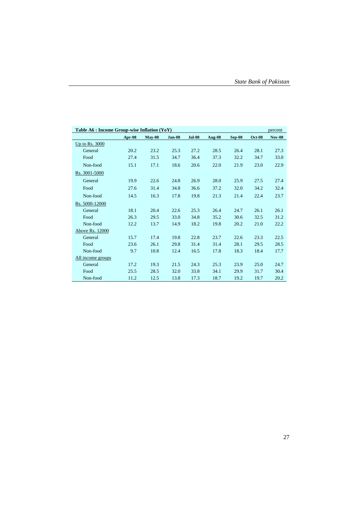|                   | Table A6 : Income Group-wise Inflation (YoY)<br>percent |          |               |               |               |          |               |               |
|-------------------|---------------------------------------------------------|----------|---------------|---------------|---------------|----------|---------------|---------------|
|                   | Apr-08                                                  | $Mav-08$ | <b>Jun-08</b> | <b>Jul-08</b> | <b>Aug-08</b> | $Sep-08$ | <b>Oct-08</b> | <b>Nov-08</b> |
| Up to Rs. 3000    |                                                         |          |               |               |               |          |               |               |
| General           | 20.2                                                    | 23.2     | 25.3          | 27.2          | 28.5          | 26.4     | 28.1          | 27.3          |
| Food              | 27.4                                                    | 31.5     | 34.7          | 36.4          | 37.3          | 32.2     | 34.7          | 33.0          |
| Non-food          | 15.1                                                    | 17.1     | 18.6          | 20.6          | 22.0          | 21.9     | 23.0          | 22.9          |
| Rs. 3001-5000     |                                                         |          |               |               |               |          |               |               |
| General           | 19.9                                                    | 22.6     | 24.8          | 26.9          | 28.0          | 25.9     | 27.5          | 27.4          |
| Food              | 27.6                                                    | 31.4     | 34.8          | 36.6          | 37.2          | 32.0     | 34.2          | 32.4          |
| Non-food          | 14.5                                                    | 16.3     | 17.8          | 19.8          | 21.3          | 21.4     | 22.4          | 23.7          |
| Rs. 5000-12000    |                                                         |          |               |               |               |          |               |               |
| General           | 18.1                                                    | 20.4     | 22.6          | 25.3          | 26.4          | 24.7     | 26.1          | 26.1          |
| Food              | 26.3                                                    | 29.5     | 33.0          | 34.8          | 35.2          | 30.6     | 32.5          | 31.2          |
| Non-food          | 12.2                                                    | 13.7     | 14.9          | 18.2          | 19.8          | 20.2     | 21.0          | 22.2          |
| Above Rs. 12000   |                                                         |          |               |               |               |          |               |               |
| General           | 15.7                                                    | 17.4     | 19.8          | 22.8          | 23.7          | 22.6     | 23.3          | 22.5          |
| Food              | 23.6                                                    | 26.1     | 29.8          | 31.4          | 31.4          | 28.1     | 29.5          | 28.5          |
| Non-food          | 9.7                                                     | 10.8     | 12.4          | 16.5          | 17.8          | 18.3     | 18.4          | 17.7          |
| All income groups |                                                         |          |               |               |               |          |               |               |
| General           | 17.2                                                    | 19.3     | 21.5          | 24.3          | 25.3          | 23.9     | 25.0          | 24.7          |
| Food              | 25.5                                                    | 28.5     | 32.0          | 33.8          | 34.1          | 29.9     | 31.7          | 30.4          |
| Non-food          | 11.2                                                    | 12.5     | 13.8          | 17.3          | 18.7          | 19.2     | 19.7          | 20.2          |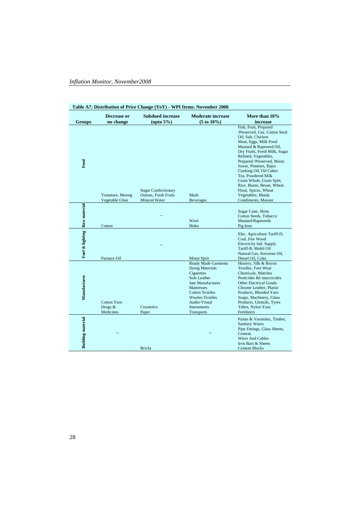|                          |                                     | Table A7: Distribution of Price Change (YoY) - WPI Items: November 2008 |                                                                                                                                                                                                                               |                                                                                                                                                                                                                                                                                                                                                                                                                             |
|--------------------------|-------------------------------------|-------------------------------------------------------------------------|-------------------------------------------------------------------------------------------------------------------------------------------------------------------------------------------------------------------------------|-----------------------------------------------------------------------------------------------------------------------------------------------------------------------------------------------------------------------------------------------------------------------------------------------------------------------------------------------------------------------------------------------------------------------------|
| <b>Groups</b>            | Decrease or<br>no change            | <b>Subdued increase</b><br>$(\text{upto } 5\%)$                         | <b>Moderate increase</b><br>$(5 to 10\%)$                                                                                                                                                                                     | More than 10%<br>increase                                                                                                                                                                                                                                                                                                                                                                                                   |
| $_{\rm{Food}}$           | Tomatoes, Moong<br>Vegetable Ghee   | <b>Sugar Confectionary</b><br>Onions, Fresh Fruits<br>Mineral Water     | Mash<br><b>Beverages</b>                                                                                                                                                                                                      | Fish, Fruit, Prepared<br>/Preserved, Gur, Cotton Seed<br>Oil, Salt, Chicken<br>Meat, Eggs, Milk Food<br>Mustard & Rapeseed Oil,<br>Dry Fruits, Fresh Milk, Sugar<br>Refined, Vegetables,<br>Prepared /Preserved, Maize<br>Jowar, Potatoes, Bajra<br>Cooking Oil, Oil Cakes<br>Tea, Powdered Milk<br>Gram Whole, Gram Split,<br>Rice, Beans, Besan, Wheat<br>Flour, Spices, Wheat<br>Vegetables, Maida<br>Condiments, Masoor |
| Raw material             |                                     |                                                                         | Wool                                                                                                                                                                                                                          | Sugar Cane, Skins<br>Cotton Seeds, Tobacco<br>Mustard/Rapeseeds                                                                                                                                                                                                                                                                                                                                                             |
| Fuel & lighting          | Cotton<br>Furnace Oil               |                                                                         | Hides<br><b>Motor Sprit</b>                                                                                                                                                                                                   | Pig Iron<br>Elec. Agriculture Tariff-D,<br>Coal, Fire Wood<br>Electricity Ind. Supply<br>Tariff-B, Mobil Oil<br>Natural Gas, Kerosine Oil,<br>Diesel Oil, Coke                                                                                                                                                                                                                                                              |
| Manufactures             | Cotton Yarn<br>Drugs &<br>Medicines | Cosmetics<br>Paper                                                      | <b>Ready Made Garments</b><br><b>Dying Materials</b><br>Cigarettes<br>Sole Leather<br><b>Jute Manufactures</b><br>Mattresses<br><b>Cotton Textiles</b><br><b>Woolen Textiles</b><br>Audio-Visual<br>Instruments<br>Transports | Hosiery, Silk & Reyon<br>Textiles. Foot Wear<br>Chemicals, Matches<br>Pesticides &I insecticides<br><b>Other Electrical Goods</b><br>Chrome Leather, Plastic<br>Products, Blended Yarn<br>Soaps, Machinery, Glass<br>Products, Utensils, Tyres<br>Tubes, Nylon Yarn<br>Fertilizers                                                                                                                                          |
| <b>Building</b> material |                                     | <b>Bricks</b>                                                           |                                                                                                                                                                                                                               | Paints & Varnishes, Timber,<br><b>Sanitary Wares</b><br>Pipe Fittings, Glass Sheets,<br>Cement<br>Wires And Cables<br>Iron Bars & Sheets<br><b>Cement Blocks</b>                                                                                                                                                                                                                                                            |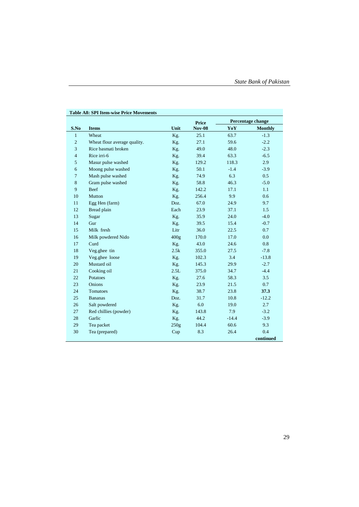|                |                              |                  | <b>Price</b>  | Percentage change |                |
|----------------|------------------------------|------------------|---------------|-------------------|----------------|
| S.No           | <b>Items</b>                 | Unit             | <b>Nov-08</b> | YoY               | <b>Monthly</b> |
| $\mathbf{1}$   | Wheat                        | Kg.              | 25.1          | 63.7              | $-1.3$         |
| $\overline{c}$ | Wheat flour average quality. | Kg.              | 27.1          | 59.6              | $-2.2$         |
| 3              | Rice basmati broken          | Kg.              | 49.0          | 48.0              | $-2.3$         |
| $\overline{4}$ | Rice irri-6                  | Kg.              | 39.4          | 63.3              | $-6.5$         |
| 5              | Masur pulse washed           | Kg.              | 129.2         | 118.3             | 2.9            |
| 6              | Moong pulse washed           | Kg.              | 50.1          | $-1.4$            | $-3.9$         |
| $\overline{7}$ | Mash pulse washed            | Kg.              | 74.9          | 6.3               | 0.5            |
| 8              | Gram pulse washed            | Kg.              | 58.8          | 46.3              | $-5.0$         |
| 9              | Beef                         | Kg.              | 142.2         | 17.1              | 1.1            |
| 10             | Mutton                       | Kg.              | 256.4         | 9.9               | 0.6            |
| 11             | Egg Hen (farm)               | Doz.             | 67.0          | 24.9              | 9.7            |
| 12             | Bread plain                  | Each             | 23.9          | 37.1              | 1.5            |
| 13             | Sugar                        | Kg.              | 35.9          | 24.0              | $-4.0$         |
| 14             | Gur                          | Kg.              | 39.5          | 15.4              | $-0.7$         |
| 15             | Milk fresh                   | Litr             | 36.0          | 22.5              | 0.7            |
| 16             | Milk powdered Nido           | 400 <sub>g</sub> | 170.0         | 17.0              | 0.0            |
| 17             | Curd                         | Kg.              | 43.0          | 24.6              | 0.8            |
| 18             | Veg.ghee tin                 | 2.5k             | 355.0         | 27.5              | $-7.8$         |
| 19             | Veg.ghee loose               | Kg.              | 102.3         | 3.4               | $-13.8$        |
| 20             | Mustard oil                  | Kg.              | 145.3         | 29.9              | $-2.7$         |
| 21             | Cooking oil                  | 2.5L             | 375.0         | 34.7              | $-4.4$         |
| 22             | Potatoes                     | Kg.              | 27.6          | 58.3              | 3.5            |
| 23             | Onions                       | Kg.              | 23.9          | 21.5              | 0.7            |
| 24             | Tomatoes                     | Kg.              | 38.7          | 23.8              | 37.3           |
| 25             | <b>Bananas</b>               | Doz.             | 31.7          | 10.8              | $-12.2$        |
| 26             | Salt powdered                | Kg.              | 6.0           | 19.0              | 2.7            |
| 27             | Red chillies (powder)        | Kg.              | 143.8         | 7.9               | $-3.2$         |
| 28             | Garlic                       | Kg.              | 44.2          | $-14.4$           | $-3.9$         |
| 29             | Tea packet                   | 250g             | 104.4         | 60.6              | 9.3            |
| 30             | Tea (prepared)               | Cup              | 8.3           | 26.4              | 0.4            |
|                |                              |                  |               |                   | continued      |

#### **Table A8: SPI Item-wise Price Movements**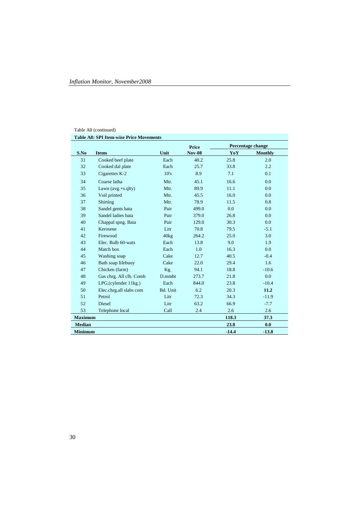#### Table A8 (continued)

|                |                            |          | <b>Price</b>  |         | Percentage change |
|----------------|----------------------------|----------|---------------|---------|-------------------|
| S.No           | <b>Items</b>               | Unit     | <b>Nov-08</b> | YoY     | <b>Monthly</b>    |
| 31             | Cooked beef plate          | Each     | 40.2          | 25.8    | 2.0               |
| 32             | Cooked dal plate           | Each     | 25.7          | 33.8    | 2.2               |
| 33             | Cigarettes K-2             | 10's     | 8.9           | 7.1     | 0.1               |
| 34             | Coarse latha               | Mtr.     | 45.1          | 16.6    | 0.0               |
| 35             | Lawn $(avg.+s,qlty)$       | Mtr.     | 89.9          | 11.1    | 0.0               |
| 36             | Voil printed               | Mtr.     | 45.5          | 16.0    | 0.0               |
| 37             | Shirting                   | Mtr.     | 78.9          | 11.5    | 0.8               |
| 38             | Sandel gents bata          | Pair     | 499.0         | 0.0     | 0.0               |
| 39             | Sandel ladies bata         | Pair     | 379.0         | 26.8    | 0.0               |
| 40             | Chappal spng. Bata         | Pair     | 129.0         | 30.3    | 0.0               |
| 41             | Kerosene                   | Litr     | 70.8          | 79.5    | $-5.1$            |
| 42             | Firewood                   | 40kg     | 264.2         | 25.0    | 3.0               |
| 43             | Elec. Bulb 60-wats         | Each     | 13.8          | 9.0     | 1.9               |
| 44             | Match box                  | Each     | 1.0           | 16.3    | 0.0               |
| 45             | Washing soap               | Cake     | 12.7          | 40.5    | $-0.4$            |
| 46             | Bath soap lifebuoy         | Cake     | 22.0          | 29.4    | 1.6               |
| 47             | Chicken (farm)             | Kg.      | 94.1          | 18.8    | $-10.6$           |
| 48             | Gas chrg. All clb. Comb    | D.mmbt   | 273.7         | 21.8    | 0.0               |
| 49             | $LPG$ .(cylender $11kg$ .) | Each     | 844.0         | 23.8    | $-10.4$           |
| 50             | Elec.chrg.all slabs com    | Bd. Unit | 6.2           | 20.3    | 11.2              |
| 51             | Petrol                     | Litr     | 72.3          | 34.3    | $-11.9$           |
| 52             | <b>Diesel</b>              | Litr     | 63.2          | 66.9    | $-7.7$            |
| 53             | Telephone local            | Call     | 2.4           | 2.6     | 2.6               |
| <b>Maximum</b> |                            |          |               | 118.3   | 37.3              |
| <b>Median</b>  |                            |          |               | 23.8    | 0.0               |
| <b>Minimum</b> |                            |          |               | $-14.4$ | $-13.8$           |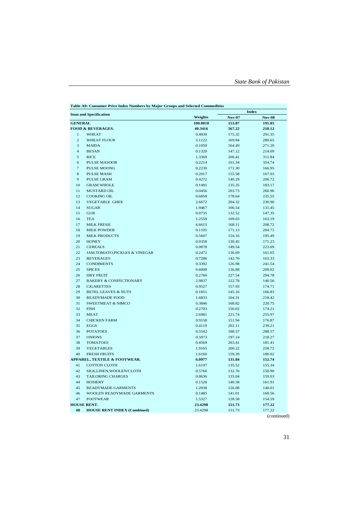| <b>Item and Specification</b> |                                    |          | <b>Index</b>  |               |  |
|-------------------------------|------------------------------------|----------|---------------|---------------|--|
|                               |                                    | Weights  | <b>Nov-07</b> | <b>Nov-08</b> |  |
| <b>GENERAL</b>                |                                    | 100.0010 | 153.87        | 191.85        |  |
|                               | FOOD & BEVERAGES.                  | 40.3416  | 167.22        | 218.12        |  |
| $\mathbf{1}$                  | <b>WHEAT</b>                       | 0.4830   | 175.32        | 291.35        |  |
| $\overline{c}$                | <b>WHEAT FLOUR</b>                 | 5.1122   | 169.84        | 280.65        |  |
| 3                             | <b>MAIDA</b>                       | 0.1059   | 164.49        | 271.20        |  |
| 4                             | <b>BESAN</b>                       | 0.1320   | 147.12        | 214.09        |  |
| 5                             | <b>RICE</b>                        | 1.3369   | 200.41        | 311.84        |  |
| 6                             | <b>PULSE MASOOR</b>                | 0.2214   | 161.34        | 354.74        |  |
| 7                             | <b>PULSE MOONG</b>                 | 0.2230   | 171.30        | 166.95        |  |
| 8                             | <b>PULSE MASH</b>                  | 0.2017   | 155.58        | 167.03        |  |
| 9                             | <b>PULSE GRAM</b>                  | 0.4272   | 140.29        | 206.72        |  |
| 10                            | <b>GRAM WHOLE</b>                  | 0.1491   | 135.35        | 183.17        |  |
| 11                            | MUSTARD OIL                        | 0.0456   | 203.73        | 260.96        |  |
| 12                            | <b>COOKING OIL</b>                 | 0.6858   | 178.64        | 235.55        |  |
| 13                            | <b>VEGETABLE GHEE</b>              | 2.6672   | 204.32        | 230.90        |  |
| 14                            | <b>SUGAR</b>                       | 1.9467   | 106.54        | 131.45        |  |
| 15                            | <b>GUR</b>                         | 0.0735   | 132.52        | 147.35        |  |
| 16                            | <b>TEA</b>                         | 1.2559   | 109.03        | 163.19        |  |
| 17                            | <b>MILK FRESH</b>                  | 6.6615   | 168.11        | 208.72        |  |
| 18                            | <b>MILK POWDER</b>                 | 0.1105   | 171.13        | 204.71        |  |
| 19                            | <b>MILK PRODUCTS</b>               | 0.5607   | 154.16        | 195.49        |  |
| 20                            | <b>HONEY</b>                       | 0.0358   | 130.45        | 171.23        |  |
| 21                            | <b>CEREALS</b>                     | 0.0878   | 149.54        | 223.69        |  |
| 22                            | JAM, TOMATO, PICKLES & VINEGAR     | 0.2472   | 136.69        | 161.65        |  |
| 23                            | <b>BEVERAGES</b>                   | 0.7286   | 142.70        | 163.33        |  |
| 24                            | <b>CONDIMENTS</b>                  | 0.3392   | 126.98        | 241.54        |  |
| 25                            | <b>SPICES</b>                      | 0.6008   | 136.88        | 209.02        |  |
| 26                            | <b>DRY FRUIT</b>                   | 0.2760   | 227.54        | 294.78        |  |
| 27                            | <b>BAKERY &amp; CONFECTIONARY</b>  | 2.9837   | 122.78        | 140.56        |  |
| 28                            | <b>CIGARETTES</b>                  | 0.9527   | 157.93        | 174.71        |  |
| 29                            | <b>BETEL LEAVES &amp; NUTS</b>     | 0.1851   | 145.16        | 166.83        |  |
| 30                            | <b>READYMADE FOOD</b>              | 1.6833   | 164.31        | 218.42        |  |
| 31                            | <b>SWEETMEAT &amp; NIMCO</b>       | 0.3846   | 168.82        | 220.75        |  |
| 32                            | <b>FISH</b>                        | 0.2703   | 150.02        | 174.21        |  |
| 33                            | <b>MEAT</b>                        | 2.6981   | 221.74        | 255.97        |  |
| 34                            | <b>CHICKEN FARM</b>                | 0.9158   | 151.94        | 176.87        |  |
| 35                            | <b>EGGS</b>                        | 0.4119   | 202.11        | 239.21        |  |
| 36                            | <b>POTATOES</b>                    | 0.5542   | 188.57        | 288.57        |  |
| 37                            | <b>ONIONS</b>                      | 0.5973   | 197.14        | 218.27        |  |
| 38                            | <b>TOMATOES</b>                    | 0.4569   | 203.41        | 181.41        |  |
| 39                            | <b>VEGETABLES</b>                  | 1.9165   | 200.22        | 258.72        |  |
| 40                            | <b>FRESH FRUITS</b>                | 1.6160   | 159.39        | 180.02        |  |
|                               | APPAREL, TEXTILE & FOOTWEAR.       | 6.0977   | 131.84        | 152.74        |  |
| 41                            | <b>COTTON CLOTH</b>                | 1.6197   | 135.52        | 155.34        |  |
| 42                            | SILK, LINEN, WOOLEN/CLOTH          | 0.5766   | 132.76        | 150.90        |  |
| 43                            | <b>TAILORING CHARGES</b>           | 0.8636   | 135.04        | 159.03        |  |
| 44                            | <b>HOSIERY</b>                     | 0.1528   | 140.58        | 161.91        |  |
| 45                            | <b>READYMADE GARMENTS</b>          | 1.2038   | 126.08        | 140.01        |  |
| 46                            | WOOLEN READYMADE GARMENTS          | 0.1485   | 141.01        | 169.56        |  |
| 47                            | <b>FOOTWEAR</b>                    | 1.5327   | 128.58        | 154.59        |  |
|                               | <b>HOUSE RENT.</b>                 | 23.4298  | 151.73        | 177.22        |  |
| 48                            | <b>HOUSE RENT INDEX (Combined)</b> | 23.4298  | 151.73        | 177.22        |  |
|                               |                                    |          |               |               |  |

**Table A9: Consumer Price Index Numbers by Major Groups and Selected Commodities**

(continued)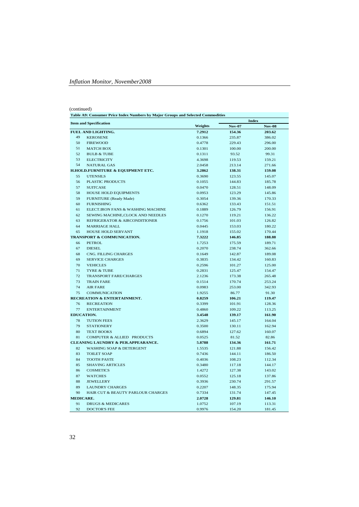#### (continued)

|                  | Table A9: Consumer Price Index Numbers by Major Groups and Selected Commodities<br><b>Index</b> |         |               |               |  |  |  |
|------------------|-------------------------------------------------------------------------------------------------|---------|---------------|---------------|--|--|--|
|                  | <b>Item and Specification</b>                                                                   | Weights | <b>Nov-07</b> | <b>Nov-08</b> |  |  |  |
|                  | <b>FUEL AND LIGHTING.</b>                                                                       | 7.2912  | 154.36        | 203.62        |  |  |  |
| 49               | <b>KEROSENE</b>                                                                                 | 0.1366  | 235.87        | 386.02        |  |  |  |
| 50               | <b>FIREWOOD</b>                                                                                 | 0.4778  | 229.43        | 296.00        |  |  |  |
| 51               | <b>MATCH BOX</b>                                                                                | 0.1301  | 100.00        | 200.00        |  |  |  |
| 52               | <b>BULB &amp; TUBE</b>                                                                          | 0.1311  | 93.52         | 99.31         |  |  |  |
| 53               | <b>ELECTRICITY</b>                                                                              | 4.3698  | 119.53        | 159.21        |  |  |  |
| 54               | <b>NATURAL GAS</b>                                                                              | 2.0458  | 213.14        | 271.66        |  |  |  |
|                  | H.HOLD.FURNITURE & EQUIPMENT ETC.                                                               | 3.2862  | 138.31        | 159.08        |  |  |  |
| 55               | <b>UTENSILS</b>                                                                                 | 0.3690  | 123.55        | 145.07        |  |  |  |
| 56               | <b>PLASTIC PRODUCTS</b>                                                                         | 0.1055  | 144.83        | 185.78        |  |  |  |
| 57               | <b>SUITCASE</b>                                                                                 | 0.0470  | 128.51        | 148.09        |  |  |  |
| 58               | HOUSE HOLD EQUIPMENTS                                                                           | 0.0953  | 123.29        | 145.86        |  |  |  |
| 59               | FURNITURE (Ready Made)                                                                          | 0.3054  | 139.36        | 170.33        |  |  |  |
| 60               | <b>FURNISHING</b>                                                                               | 0.6362  | 133.43        | 151.51        |  |  |  |
| 61               | ELECT.IRON FANS & WASHING MACHINE                                                               | 0.1889  | 126.79        | 156.91        |  |  |  |
| 62               | SEWING MACHINE, CLOCK AND NEEDLES                                                               | 0.1270  | 119.21        | 136.22        |  |  |  |
| 63               | REFRIGERATOR & AIRCONDITIONER                                                                   | 0.1756  | 101.03        | 126.82        |  |  |  |
| 64               | <b>MARRIAGE HALL</b>                                                                            | 0.0445  | 153.03        | 180.22        |  |  |  |
| 65               | <b>HOUSE HOLD SERVANT</b>                                                                       | 1.1918  | 155.02        | 170.44        |  |  |  |
|                  | <b>TRANSPORT &amp; COMMUNICATION.</b>                                                           | 7.3222  | 146.85        | 188.88        |  |  |  |
| 66               | <b>PETROL</b>                                                                                   | 1.7253  | 175.59        | 189.71        |  |  |  |
| 67               | <b>DIESEL</b>                                                                                   | 0.2070  | 238.74        | 362.66        |  |  |  |
| 68               | CNG. FILLING CHARGES                                                                            | 0.1649  | 142.87        | 189.08        |  |  |  |
| 69               | <b>SERVICE CHARGES</b>                                                                          | 0.3835  | 134.42        | 160.83        |  |  |  |
| 70               | <b>VEHICLES</b>                                                                                 | 0.2596  | 101.27        | 125.00        |  |  |  |
| 71               | <b>TYRE &amp; TUBE</b>                                                                          | 0.2831  | 125.47        | 154.47        |  |  |  |
| 72               | <b>TRANSPORT FARE/CHARGES</b>                                                                   | 2.1236  | 173.38        | 265.48        |  |  |  |
| 73               | <b>TRAIN FARE</b>                                                                               | 0.1514  | 170.74        | 253.24        |  |  |  |
| 74               | <b>AIR FARE</b>                                                                                 | 0.0983  | 253.00        | 342.93        |  |  |  |
| 75               | <b>COMMUNICATION</b>                                                                            | 1.9255  | 86.77         | 91.30         |  |  |  |
|                  | <b>RECREATION &amp; ENTERTAINMENT.</b>                                                          | 0.8259  | 106.21        | 119.47        |  |  |  |
| 76               | <b>RECREATION</b>                                                                               | 0.3399  | 101.91        | 128.36        |  |  |  |
| 77               | <b>ENTERTAINMENT</b>                                                                            | 0.4860  | 109.22        | 113.25        |  |  |  |
|                  | <b>EDUCATION.</b>                                                                               | 3.4548  | 139.17        | 161.90        |  |  |  |
| 78               | <b>TUTION FEES</b>                                                                              | 2.3629  | 145.17        | 164.04        |  |  |  |
| 79               | <b>STATIONERY</b>                                                                               | 0.3500  | 130.11        | 162.94        |  |  |  |
| 80               | <b>TEXT BOOKS</b>                                                                               | 0.6894  | 127.62        | 160.07        |  |  |  |
| 81               | COMPUTER & ALLIED PRODUCTS                                                                      | 0.0525  | 81.52         | 82.86         |  |  |  |
|                  | <b>CLEANING LAUNDRY &amp; PER.APPEARANCE.</b>                                                   | 5.8788  | 134.36        | 161.71        |  |  |  |
| 82               | <b>WASHING SOAP &amp; DETERGENT</b>                                                             | 1.5535  | 121.88        | 156.42        |  |  |  |
| 83               | <b>TOILET SOAP</b>                                                                              | 0.7436  | 144.11        | 186.50        |  |  |  |
| 84               | <b>TOOTH PASTE</b>                                                                              | 0.4036  | 108.23        | 112.34        |  |  |  |
| 85               | <b>SHAVING ARTICLES</b>                                                                         | 0.3480  | 117.18        | 144.17        |  |  |  |
| 86               | <b>COSMETICS</b>                                                                                | 1.4272  | 127.38        | 143.02        |  |  |  |
| 87               | <b>WATCHES</b>                                                                                  | 0.0552  | 125.18        | 137.86        |  |  |  |
| 88               | <b>JEWELLERY</b>                                                                                | 0.3936  | 230.74        | 291.57        |  |  |  |
| 89               | <b>LAUNDRY CHARGES</b>                                                                          | 0.2207  | 148.35        | 175.94        |  |  |  |
| 90               | <b>HAIR CUT &amp; BEAUTY PARLOUR CHARGES</b>                                                    | 0.7334  | 131.74        | 147.45        |  |  |  |
| <b>MEDICARE.</b> |                                                                                                 | 2.0728  | 129.81        | 146.10        |  |  |  |
| 91               | <b>DRUGS &amp; MEDICARES</b>                                                                    | 1.0752  | 107.19        | 113.31        |  |  |  |
| 92               | <b>DOCTOR'S FEE</b>                                                                             | 0.9976  | 154.20        | 181.45        |  |  |  |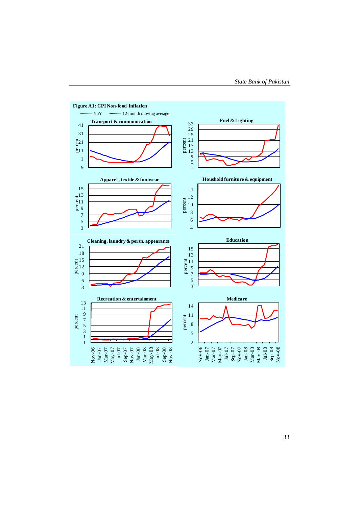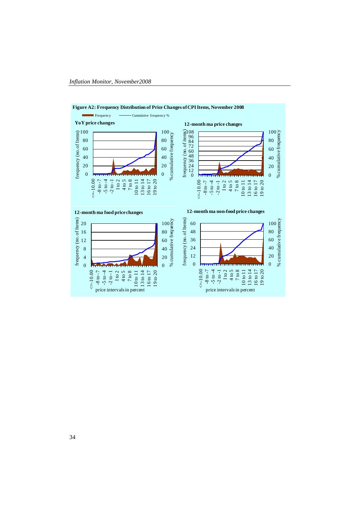

#### **Figure A2: Frequency Distribution of Price Changes of CPI Items, November 2008**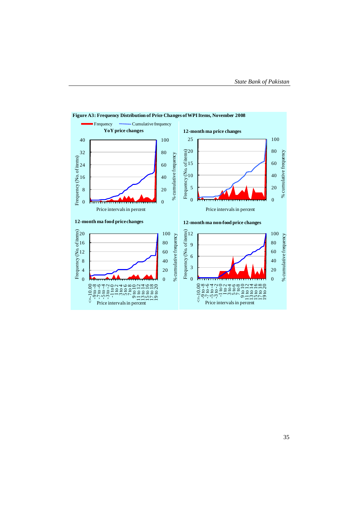

## **Figure A3: Frequency Distribution of Price Changes of WPI Items, November 2008**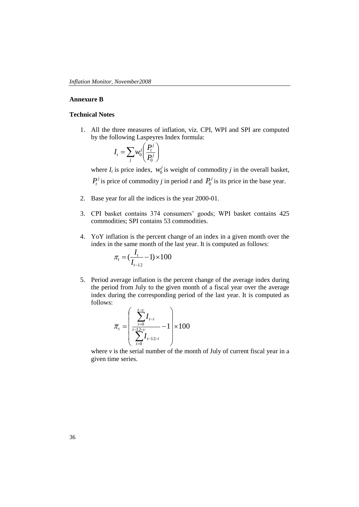#### **Annexure B**

#### **Technical Notes**

1. All the three measures of inflation, viz. CPI, WPI and SPI are computed by the following Laspeyres Index formula:

$$
I_t = \sum_j w_0^j \left( \frac{P_t^j}{P_0^j} \right)
$$

where  $I_t$  is price index,  $w_0^j$  is weight of commodity *j* in the overall basket,  $P_t^j$  is price of commodity *j* in period *t* and  $P_0^j$  is its price in the base year.

- 2. Base year for all the indices is the year 2000-01.
- 3. CPI basket contains 374 consumers' goods; WPI basket contains 425 commodities; SPI contains 53 commodities.
- 4. YoY inflation is the percent change of an index in a given month over the index in the same month of the last year. It is computed as follows:

$$
\pi_{t} = (\frac{I_{t}}{I_{t-12}} - 1) \times 100
$$

5. Period average inflation is the percent change of the average index during the period from July to the given month of a fiscal year over the average index during the corresponding period of the last year. It is computed as follows:

$$
\overline{\pi}_{t} = \left(\frac{\sum_{i=0}^{t-v} I_{t-i}}{\sum_{i=0}^{t-1} I_{t-1} - 1}\right) \times 100
$$

where  $\nu$  is the serial number of the month of July of current fiscal year in a given time series.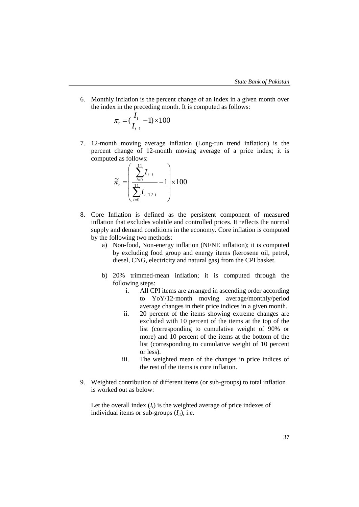6. Monthly inflation is the percent change of an index in a given month over the index in the preceding month. It is computed as follows:

$$
\pi_t = (\frac{I_t}{I_{t-1}} - 1) \times 100
$$

7. 12-month moving average inflation (Long-run trend inflation) is the percent change of 12-month moving average of a price index; it is computed as follows:

$$
\widetilde{\pi}_{t} = \left(\frac{\sum_{i=0}^{11} I_{t-i}}{\sum_{i=0}^{11} I_{t-12-i}} - 1\right) \times 100
$$

- 8. Core Inflation is defined as the persistent component of measured inflation that excludes volatile and controlled prices. It reflects the normal supply and demand conditions in the economy. Core inflation is computed by the following two methods:
	- a) Non-food, Non-energy inflation (NFNE inflation); it is computed by excluding food group and energy items (kerosene oil, petrol, diesel, CNG, electricity and natural gas) from the CPI basket.
	- b) 20% trimmed-mean inflation; it is computed through the following steps:
		- i. All CPI items are arranged in ascending order according to YoY/12-month moving average/monthly/period average changes in their price indices in a given month.
		- ii. 20 percent of the items showing extreme changes are excluded with 10 percent of the items at the top of the list (corresponding to cumulative weight of 90% or more) and 10 percent of the items at the bottom of the list (corresponding to cumulative weight of 10 percent or less).
		- iii. The weighted mean of the changes in price indices of the rest of the items is core inflation.
- 9. Weighted contribution of different items (or sub-groups) to total inflation is worked out as below:

Let the overall index  $(I_t)$  is the weighted average of price indexes of individual items or sub-groups  $(I_i)$ , i.e.